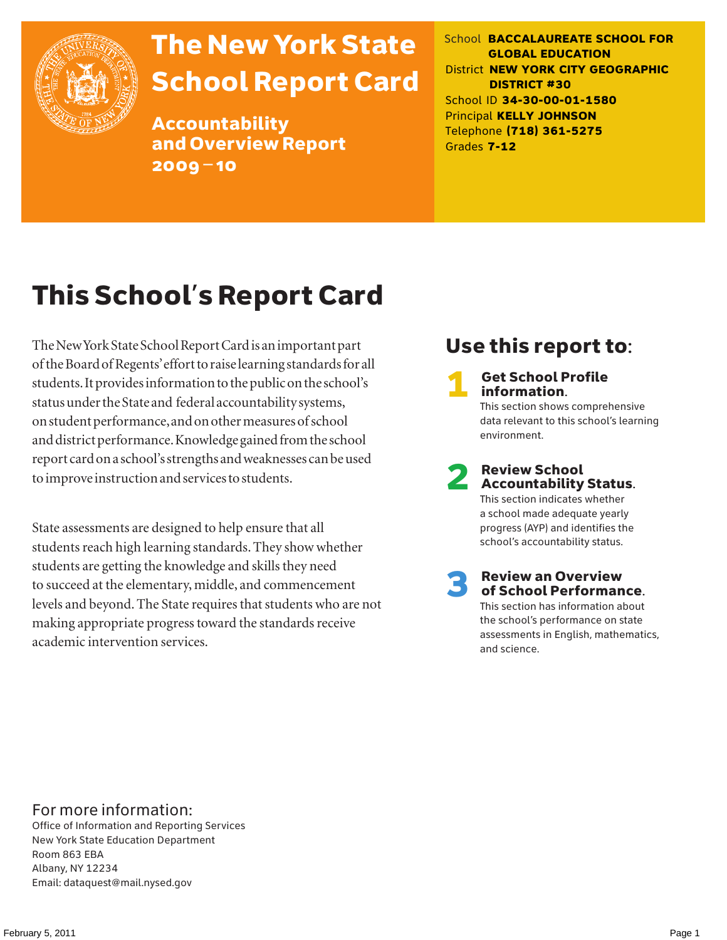

# The New York State School Report Card

Accountability and Overview Report 2009–10

School **BACCALAUREATE SCHOOL FOR GLOBAL EDUCATION** District **NEW YORK CITY GEOGRAPHIC DISTRICT #30** School ID **34-30-00-01-1580** Principal **KELLY JOHNSON** Telephone **(718) 361-5275** Grades **7-12**

# This School's Report Card

The New York State School Report Card is an important part of the Board of Regents' effort to raise learning standards for all students. It provides information to the public on the school's status under the State and federal accountability systems, on student performance, and on other measures of school and district performance. Knowledge gained from the school report card on a school's strengths and weaknesses can be used to improve instruction and services to students.

State assessments are designed to help ensure that all students reach high learning standards. They show whether students are getting the knowledge and skills they need to succeed at the elementary, middle, and commencement levels and beyond. The State requires that students who are not making appropriate progress toward the standards receive academic intervention services.

### Use this report to:

**Get School Profile** information. This section shows comprehensive data relevant to this school's learning environment.

# 2 Review School Accountability Status.

This section indicates whether a school made adequate yearly progress (AYP) and identifies the school's accountability status.

3 Review an Overview of School Performance. This section has information about

the school's performance on state assessments in English, mathematics, and science.

### For more information:

Office of Information and Reporting Services New York State Education Department Room 863 EBA Albany, NY 12234 Email: dataquest@mail.nysed.gov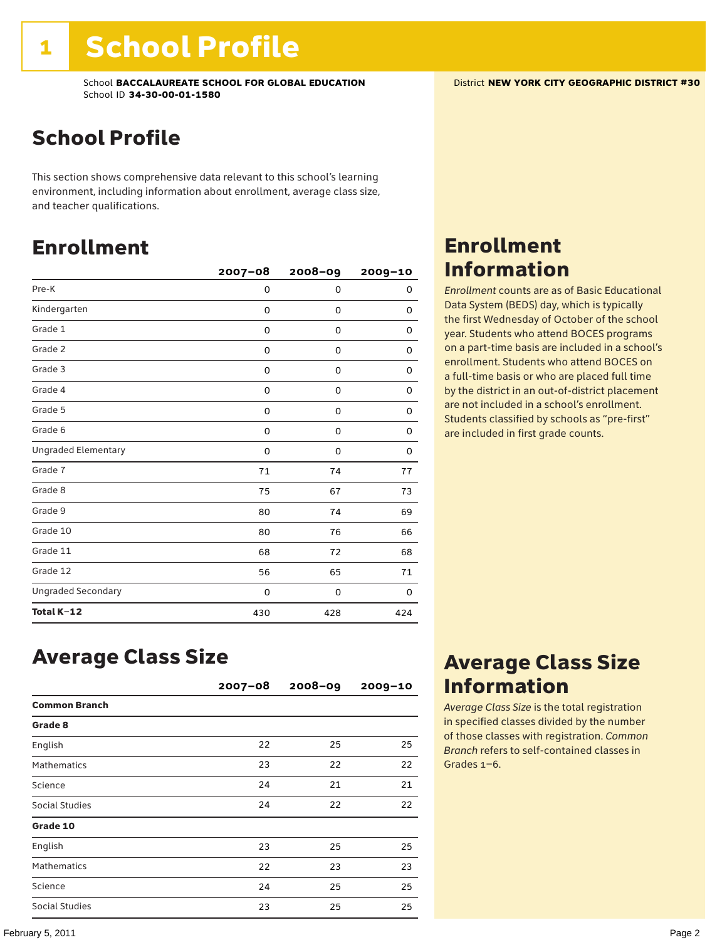### School Profile

This section shows comprehensive data relevant to this school's learning environment, including information about enrollment, average class size, and teacher qualifications.

### Enrollment

|                            | $2007 - 08$ | 2008-09 | 2009-10 |
|----------------------------|-------------|---------|---------|
| Pre-K                      | 0           | 0       | 0       |
| Kindergarten               | 0           | 0       | 0       |
| Grade 1                    | 0           | 0       | 0       |
| Grade 2                    | 0           | 0       | 0       |
| Grade 3                    | 0           | 0       | 0       |
| Grade 4                    | 0           | 0       | 0       |
| Grade 5                    | 0           | 0       | 0       |
| Grade 6                    | 0           | 0       | 0       |
| <b>Ungraded Elementary</b> | 0           | 0       | 0       |
| Grade 7                    | 71          | 74      | 77      |
| Grade 8                    | 75          | 67      | 73      |
| Grade 9                    | 80          | 74      | 69      |
| Grade 10                   | 80          | 76      | 66      |
| Grade 11                   | 68          | 72      | 68      |
| Grade 12                   | 56          | 65      | 71      |
| <b>Ungraded Secondary</b>  | 0           | 0       | 0       |
| Total K-12                 | 430         | 428     | 424     |

### Enrollment Information

*Enrollment* counts are as of Basic Educational Data System (BEDS) day, which is typically the first Wednesday of October of the school year. Students who attend BOCES programs on a part-time basis are included in a school's enrollment. Students who attend BOCES on a full-time basis or who are placed full time by the district in an out-of-district placement are not included in a school's enrollment. Students classified by schools as "pre-first" are included in first grade counts.

### Average Class Size

|                      | $2007 - 08$ | $2008 - 09$ | $2009 - 10$ |
|----------------------|-------------|-------------|-------------|
| <b>Common Branch</b> |             |             |             |
| Grade 8              |             |             |             |
| English              | 22          | 25          | 25          |
| <b>Mathematics</b>   | 23          | 22          | 22          |
| Science              | 24          | 21          | 21          |
| Social Studies       | 24          | 22          | 22          |
| Grade 10             |             |             |             |
| English              | 23          | 25          | 25          |
| <b>Mathematics</b>   | 22          | 23          | 23          |
| Science              | 24          | 25          | 25          |
| Social Studies       | 23          | 25          | 25          |

### Average Class Size Information

*Average Class Size* is the total registration in specified classes divided by the number of those classes with registration. *Common Branch* refers to self-contained classes in Grades 1–6.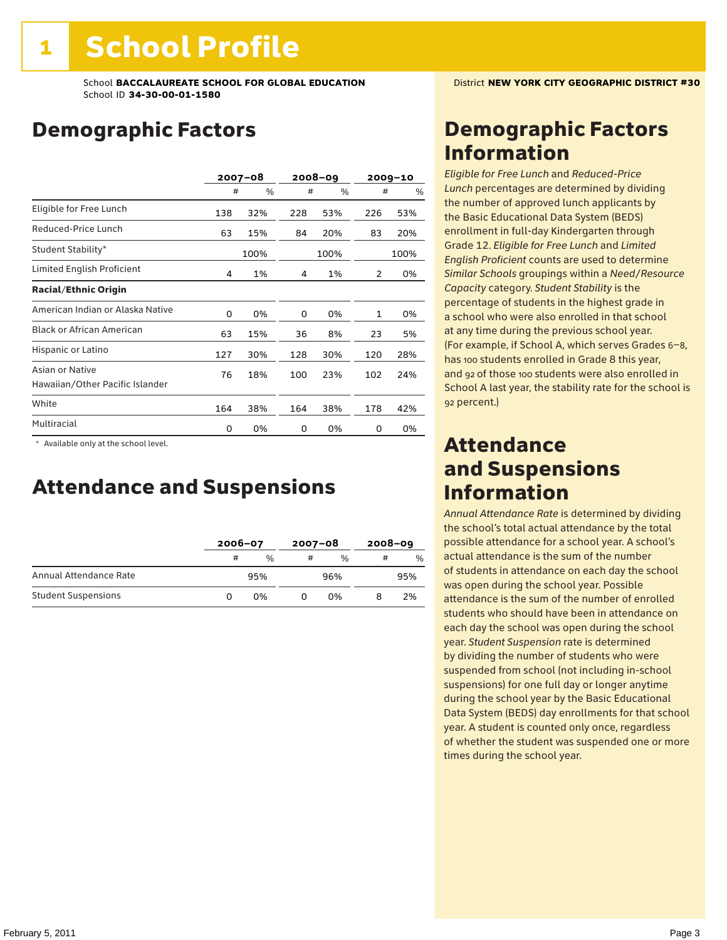### Demographic Factors

|                                                    | $2007 - 08$ |      |     | $2008 - 09$ |     | $2009 - 10$ |
|----------------------------------------------------|-------------|------|-----|-------------|-----|-------------|
|                                                    | #           | %    | #   | %           | #   | %           |
| Eligible for Free Lunch                            | 138         | 32%  | 228 | 53%         | 226 | 53%         |
| Reduced-Price Lunch                                | 63          | 15%  | 84  | 20%         | 83  | 20%         |
| Student Stability*                                 |             | 100% |     | 100%        |     | 100%        |
| Limited English Proficient                         | 4           | 1%   | 4   | 1%          | 2   | 0%          |
| <b>Racial/Ethnic Origin</b>                        |             |      |     |             |     |             |
| American Indian or Alaska Native                   | 0           | 0%   | 0   | 0%          | 1   | 0%          |
| <b>Black or African American</b>                   | 63          | 15%  | 36  | 8%          | 23  | 5%          |
| Hispanic or Latino                                 | 127         | 30%  | 128 | 30%         | 120 | 28%         |
| Asian or Native<br>Hawaiian/Other Pacific Islander | 76          | 18%  | 100 | 23%         | 102 | 24%         |
| White                                              | 164         | 38%  | 164 | 38%         | 178 | 42%         |
| Multiracial                                        | 0           | 0%   | 0   | 0%          | 0   | 0%          |

 \* Available only at the school level.

### Attendance and Suspensions

|                            |   | $2006 - 07$   |   | $2007 - 08$ |   | $2008 - 09$   |  |
|----------------------------|---|---------------|---|-------------|---|---------------|--|
|                            | # | $\frac{0}{0}$ | # | %           | # | $\frac{0}{6}$ |  |
| Annual Attendance Rate     |   | 95%           |   | 96%         |   | 95%           |  |
| <b>Student Suspensions</b> |   | 0%            |   | በ%          |   | 2%            |  |

### Demographic Factors Information

*Eligible for Free Lunch* and *Reduced*-*Price Lunch* percentages are determined by dividing the number of approved lunch applicants by the Basic Educational Data System (BEDS) enrollment in full-day Kindergarten through Grade 12. *Eligible for Free Lunch* and *Limited English Proficient* counts are used to determine *Similar Schools* groupings within a *Need*/*Resource Capacity* category. *Student Stability* is the percentage of students in the highest grade in a school who were also enrolled in that school at any time during the previous school year. (For example, if School A, which serves Grades 6–8, has 100 students enrolled in Grade 8 this year, and 92 of those 100 students were also enrolled in School A last year, the stability rate for the school is 92 percent.)

### Attendance and Suspensions Information

*Annual Attendance Rate* is determined by dividing the school's total actual attendance by the total possible attendance for a school year. A school's actual attendance is the sum of the number of students in attendance on each day the school was open during the school year. Possible attendance is the sum of the number of enrolled students who should have been in attendance on each day the school was open during the school year. *Student Suspension* rate is determined by dividing the number of students who were suspended from school (not including in-school suspensions) for one full day or longer anytime during the school year by the Basic Educational Data System (BEDS) day enrollments for that school year. A student is counted only once, regardless of whether the student was suspended one or more times during the school year.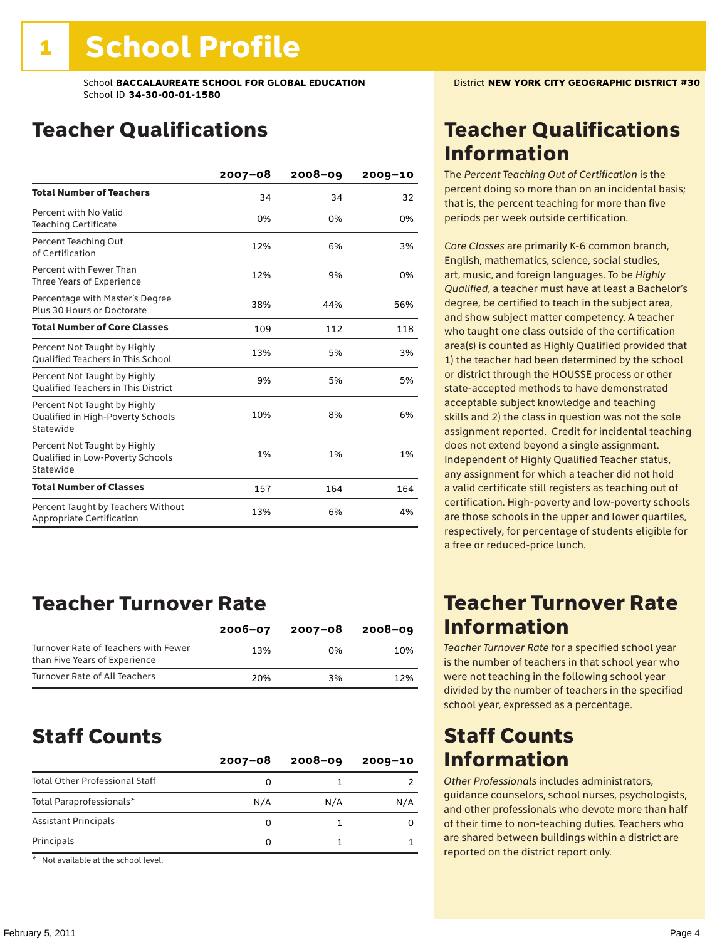### Teacher Qualifications

|                                                                                | $2007 - 08$ | 2008-09 | $2009 - 10$ |
|--------------------------------------------------------------------------------|-------------|---------|-------------|
| <b>Total Number of Teachers</b>                                                | 34          | 34      | 32          |
| Percent with No Valid<br><b>Teaching Certificate</b>                           | 0%          | 0%      | 0%          |
| Percent Teaching Out<br>of Certification                                       | 12%         | 6%      | 3%          |
| Percent with Fewer Than<br>Three Years of Experience                           | 12%         | 9%      | 0%          |
| Percentage with Master's Degree<br>Plus 30 Hours or Doctorate                  | 38%         | 44%     | 56%         |
| <b>Total Number of Core Classes</b>                                            | 109         | 112     | 118         |
| Percent Not Taught by Highly<br><b>Oualified Teachers in This School</b>       | 13%         | 5%      | 3%          |
| Percent Not Taught by Highly<br><b>Oualified Teachers in This District</b>     | 9%          | 5%      | 5%          |
| Percent Not Taught by Highly<br>Qualified in High-Poverty Schools<br>Statewide | 10%         | 8%      | 6%          |
| Percent Not Taught by Highly<br>Qualified in Low-Poverty Schools<br>Statewide  | 1%          | 1%      | 1%          |
| <b>Total Number of Classes</b>                                                 | 157         | 164     | 164         |
| Percent Taught by Teachers Without<br>Appropriate Certification                | 13%         | 6%      | 4%          |

### Teacher Turnover Rate

|                                                                       | $2006 - 07$ | 2007-08 | $2008 - 09$ |
|-----------------------------------------------------------------------|-------------|---------|-------------|
| Turnover Rate of Teachers with Fewer<br>than Five Years of Experience | 13%         | በ%      | 10%         |
| Turnover Rate of All Teachers                                         | 20%         | 3%      | 12%         |

### Staff Counts

| $2007 - 08$ | $2008 - 09$ | $2009 - 10$ |
|-------------|-------------|-------------|
| 0           |             |             |
| N/A         | N/A         | N/A         |
| 0           |             |             |
| ŋ           |             |             |
|             |             |             |

\* Not available at the school level.

### Teacher Qualifications Information

The *Percent Teaching Out of Certification* is the percent doing so more than on an incidental basis; that is, the percent teaching for more than five periods per week outside certification.

*Core Classes* are primarily K-6 common branch, English, mathematics, science, social studies, art, music, and foreign languages. To be *Highly Qualified*, a teacher must have at least a Bachelor's degree, be certified to teach in the subject area, and show subject matter competency. A teacher who taught one class outside of the certification area(s) is counted as Highly Qualified provided that 1) the teacher had been determined by the school or district through the HOUSSE process or other state-accepted methods to have demonstrated acceptable subject knowledge and teaching skills and 2) the class in question was not the sole assignment reported. Credit for incidental teaching does not extend beyond a single assignment. Independent of Highly Qualified Teacher status, any assignment for which a teacher did not hold a valid certificate still registers as teaching out of certification. High-poverty and low-poverty schools are those schools in the upper and lower quartiles, respectively, for percentage of students eligible for a free or reduced-price lunch.

### Teacher Turnover Rate Information

*Teacher Turnover Rate* for a specified school year is the number of teachers in that school year who were not teaching in the following school year divided by the number of teachers in the specified school year, expressed as a percentage.

### Staff Counts Information

*Other Professionals* includes administrators, guidance counselors, school nurses, psychologists, and other professionals who devote more than half of their time to non-teaching duties. Teachers who are shared between buildings within a district are reported on the district report only.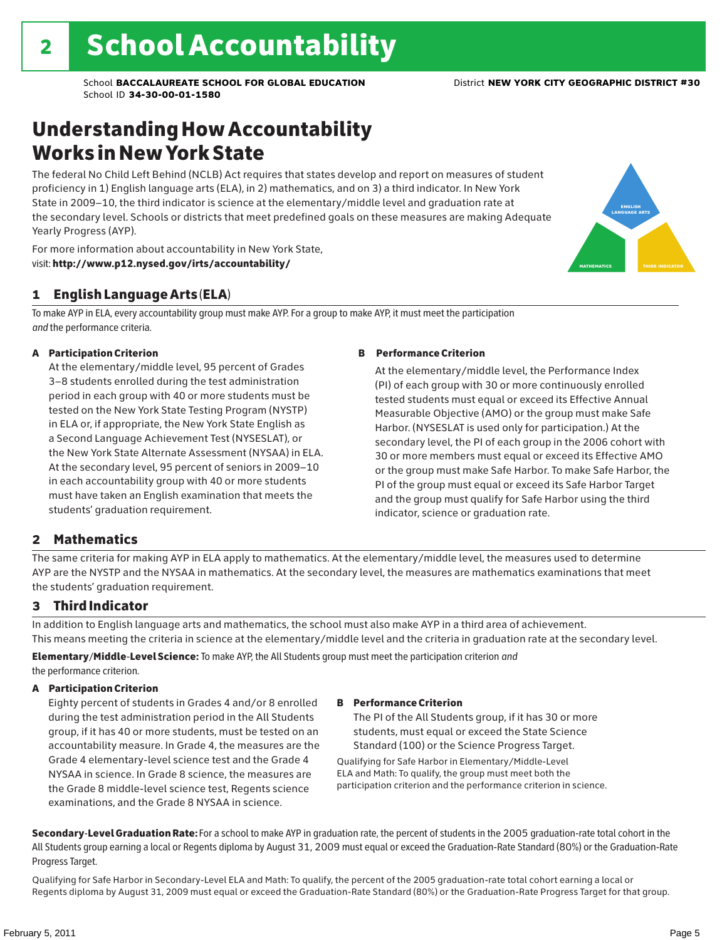english language arts

MATHEMATICS THIRD INDICATOR

### Understanding How Accountability Works in New York State

The federal No Child Left Behind (NCLB) Act requires that states develop and report on measures of student proficiency in 1) English language arts (ELA), in 2) mathematics, and on 3) a third indicator. In New York State in 2009–10, the third indicator is science at the elementary/middle level and graduation rate at the secondary level. Schools or districts that meet predefined goals on these measures are making Adequate Yearly Progress (AYP).



### 1 English Language Arts (ELA)

To make AYP in ELA, every accountability group must make AYP. For a group to make AYP, it must meet the participation *and* the performance criteria.

#### A Participation Criterion

At the elementary/middle level, 95 percent of Grades 3–8 students enrolled during the test administration period in each group with 40 or more students must be tested on the New York State Testing Program (NYSTP) in ELA or, if appropriate, the New York State English as a Second Language Achievement Test (NYSESLAT), or the New York State Alternate Assessment (NYSAA) in ELA. At the secondary level, 95 percent of seniors in 2009–10 in each accountability group with 40 or more students must have taken an English examination that meets the students' graduation requirement.

#### B Performance Criterion

At the elementary/middle level, the Performance Index (PI) of each group with 30 or more continuously enrolled tested students must equal or exceed its Effective Annual Measurable Objective (AMO) or the group must make Safe Harbor. (NYSESLAT is used only for participation.) At the secondary level, the PI of each group in the 2006 cohort with 30 or more members must equal or exceed its Effective AMO or the group must make Safe Harbor. To make Safe Harbor, the PI of the group must equal or exceed its Safe Harbor Target and the group must qualify for Safe Harbor using the third indicator, science or graduation rate.

#### 2 Mathematics

The same criteria for making AYP in ELA apply to mathematics. At the elementary/middle level, the measures used to determine AYP are the NYSTP and the NYSAA in mathematics. At the secondary level, the measures are mathematics examinations that meet the students' graduation requirement.

#### 3 Third Indicator

In addition to English language arts and mathematics, the school must also make AYP in a third area of achievement. This means meeting the criteria in science at the elementary/middle level and the criteria in graduation rate at the secondary level.

Elementary/Middle-Level Science: To make AYP, the All Students group must meet the participation criterion *and* the performance criterion.

#### A Participation Criterion

Eighty percent of students in Grades 4 and/or 8 enrolled during the test administration period in the All Students group, if it has 40 or more students, must be tested on an accountability measure. In Grade 4, the measures are the Grade 4 elementary-level science test and the Grade 4 NYSAA in science. In Grade 8 science, the measures are the Grade 8 middle-level science test, Regents science examinations, and the Grade 8 NYSAA in science.

#### B Performance Criterion

The PI of the All Students group, if it has 30 or more students, must equal or exceed the State Science Standard (100) or the Science Progress Target.

Qualifying for Safe Harbor in Elementary/Middle-Level ELA and Math: To qualify, the group must meet both the participation criterion and the performance criterion in science.

Secondary-Level Graduation Rate: For a school to make AYP in graduation rate, the percent of students in the 2005 graduation-rate total cohort in the All Students group earning a local or Regents diploma by August 31, 2009 must equal or exceed the Graduation-Rate Standard (80%) or the Graduation-Rate Progress Target.

Qualifying for Safe Harbor in Secondary-Level ELA and Math: To qualify, the percent of the 2005 graduation-rate total cohort earning a local or Regents diploma by August 31, 2009 must equal or exceed the Graduation-Rate Standard (80%) or the Graduation-Rate Progress Target for that group.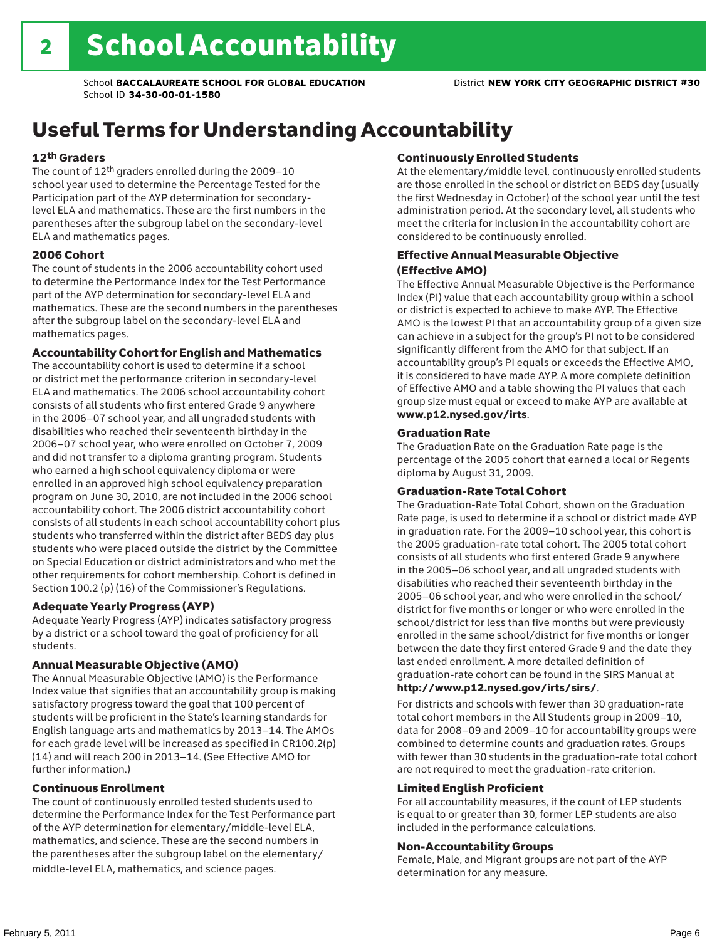### Useful Terms for Understanding Accountability

#### 12th Graders

The count of 12th graders enrolled during the 2009–10 school year used to determine the Percentage Tested for the Participation part of the AYP determination for secondarylevel ELA and mathematics. These are the first numbers in the parentheses after the subgroup label on the secondary-level ELA and mathematics pages.

#### 2006 Cohort

The count of students in the 2006 accountability cohort used to determine the Performance Index for the Test Performance part of the AYP determination for secondary-level ELA and mathematics. These are the second numbers in the parentheses after the subgroup label on the secondary-level ELA and mathematics pages.

#### Accountability Cohort for English and Mathematics

The accountability cohort is used to determine if a school or district met the performance criterion in secondary-level ELA and mathematics. The 2006 school accountability cohort consists of all students who first entered Grade 9 anywhere in the 2006–07 school year, and all ungraded students with disabilities who reached their seventeenth birthday in the 2006–07 school year, who were enrolled on October 7, 2009 and did not transfer to a diploma granting program. Students who earned a high school equivalency diploma or were enrolled in an approved high school equivalency preparation program on June 30, 2010, are not included in the 2006 school accountability cohort. The 2006 district accountability cohort consists of all students in each school accountability cohort plus students who transferred within the district after BEDS day plus students who were placed outside the district by the Committee on Special Education or district administrators and who met the other requirements for cohort membership. Cohort is defined in Section 100.2 (p) (16) of the Commissioner's Regulations.

#### Adequate Yearly Progress (AYP)

Adequate Yearly Progress (AYP) indicates satisfactory progress by a district or a school toward the goal of proficiency for all students.

#### Annual Measurable Objective (AMO)

The Annual Measurable Objective (AMO) is the Performance Index value that signifies that an accountability group is making satisfactory progress toward the goal that 100 percent of students will be proficient in the State's learning standards for English language arts and mathematics by 2013–14. The AMOs for each grade level will be increased as specified in CR100.2(p) (14) and will reach 200 in 2013–14. (See Effective AMO for further information.)

#### Continuous Enrollment

The count of continuously enrolled tested students used to determine the Performance Index for the Test Performance part of the AYP determination for elementary/middle-level ELA, mathematics, and science. These are the second numbers in the parentheses after the subgroup label on the elementary/ middle-level ELA, mathematics, and science pages.

#### Continuously Enrolled Students

At the elementary/middle level, continuously enrolled students are those enrolled in the school or district on BEDS day (usually the first Wednesday in October) of the school year until the test administration period. At the secondary level, all students who meet the criteria for inclusion in the accountability cohort are considered to be continuously enrolled.

#### Effective Annual Measurable Objective (Effective AMO)

The Effective Annual Measurable Objective is the Performance Index (PI) value that each accountability group within a school or district is expected to achieve to make AYP. The Effective AMO is the lowest PI that an accountability group of a given size can achieve in a subject for the group's PI not to be considered significantly different from the AMO for that subject. If an accountability group's PI equals or exceeds the Effective AMO, it is considered to have made AYP. A more complete definition of Effective AMO and a table showing the PI values that each group size must equal or exceed to make AYP are available at www.p12.nysed.gov/irts.

#### Graduation Rate

The Graduation Rate on the Graduation Rate page is the percentage of the 2005 cohort that earned a local or Regents diploma by August 31, 2009.

#### Graduation-Rate Total Cohort

The Graduation-Rate Total Cohort, shown on the Graduation Rate page, is used to determine if a school or district made AYP in graduation rate. For the 2009–10 school year, this cohort is the 2005 graduation-rate total cohort. The 2005 total cohort consists of all students who first entered Grade 9 anywhere in the 2005–06 school year, and all ungraded students with disabilities who reached their seventeenth birthday in the 2005–06 school year, and who were enrolled in the school/ district for five months or longer or who were enrolled in the school/district for less than five months but were previously enrolled in the same school/district for five months or longer between the date they first entered Grade 9 and the date they last ended enrollment. A more detailed definition of graduation-rate cohort can be found in the SIRS Manual at

#### http://www.p12.nysed.gov/irts/sirs/.

For districts and schools with fewer than 30 graduation-rate total cohort members in the All Students group in 2009–10, data for 2008–09 and 2009–10 for accountability groups were combined to determine counts and graduation rates. Groups with fewer than 30 students in the graduation-rate total cohort are not required to meet the graduation-rate criterion.

#### Limited English Proficient

For all accountability measures, if the count of LEP students is equal to or greater than 30, former LEP students are also included in the performance calculations.

#### Non-Accountability Groups

Female, Male, and Migrant groups are not part of the AYP determination for any measure.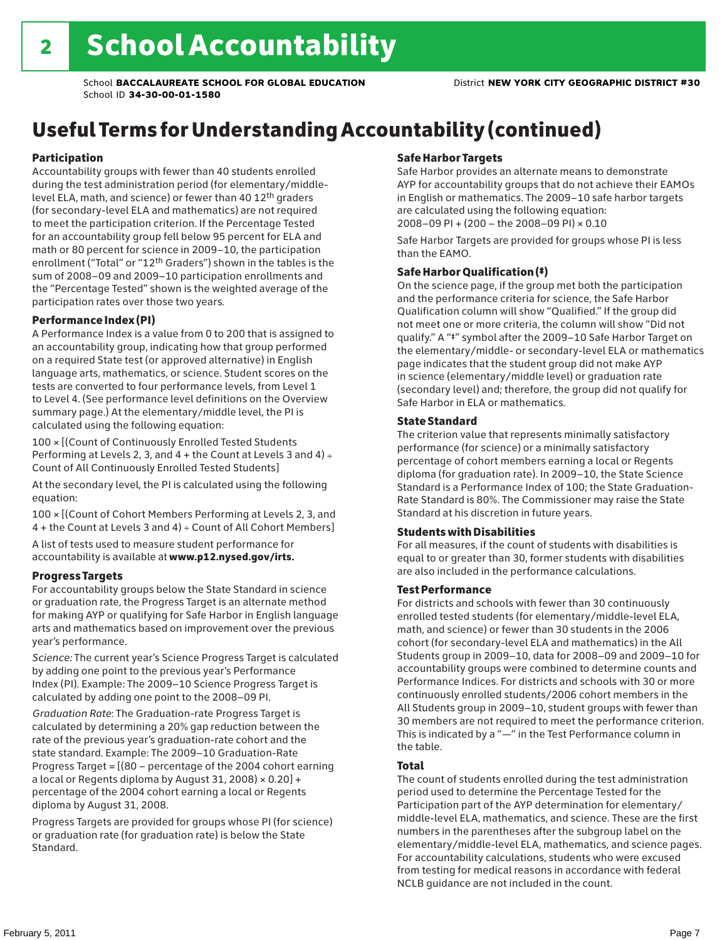## Useful Terms for Understanding Accountability (continued)

#### Participation

Accountability groups with fewer than 40 students enrolled during the test administration period (for elementary/middlelevel ELA, math, and science) or fewer than 40 12th graders (for secondary-level ELA and mathematics) are not required to meet the participation criterion. If the Percentage Tested for an accountability group fell below 95 percent for ELA and math or 80 percent for science in 2009–10, the participation enrollment ("Total" or "12th Graders") shown in the tables is the sum of 2008–09 and 2009–10 participation enrollments and the "Percentage Tested" shown is the weighted average of the participation rates over those two years.

#### Performance Index (PI)

A Performance Index is a value from 0 to 200 that is assigned to an accountability group, indicating how that group performed on a required State test (or approved alternative) in English language arts, mathematics, or science. Student scores on the tests are converted to four performance levels, from Level 1 to Level 4. (See performance level definitions on the Overview summary page.) At the elementary/middle level, the PI is calculated using the following equation:

100 × [(Count of Continuously Enrolled Tested Students Performing at Levels 2, 3, and  $4 +$  the Count at Levels 3 and  $4) \div$ Count of All Continuously Enrolled Tested Students]

At the secondary level, the PI is calculated using the following equation:

100 × [(Count of Cohort Members Performing at Levels 2, 3, and 4 + the Count at Levels 3 and 4) ÷ Count of All Cohort Members]

A list of tests used to measure student performance for accountability is available at www.p12.nysed.gov/irts.

#### Progress Targets

For accountability groups below the State Standard in science or graduation rate, the Progress Target is an alternate method for making AYP or qualifying for Safe Harbor in English language arts and mathematics based on improvement over the previous year's performance.

*Science:* The current year's Science Progress Target is calculated by adding one point to the previous year's Performance Index (PI). Example: The 2009–10 Science Progress Target is calculated by adding one point to the 2008–09 PI.

*Graduation Rate*: The Graduation-rate Progress Target is calculated by determining a 20% gap reduction between the rate of the previous year's graduation-rate cohort and the state standard. Example: The 2009–10 Graduation-Rate Progress Target = [(80 – percentage of the 2004 cohort earning a local or Regents diploma by August 31, 2008)  $\times$  0.20] + percentage of the 2004 cohort earning a local or Regents diploma by August 31, 2008.

Progress Targets are provided for groups whose PI (for science) or graduation rate (for graduation rate) is below the State Standard.

#### Safe Harbor Targets

Safe Harbor provides an alternate means to demonstrate AYP for accountability groups that do not achieve their EAMOs in English or mathematics. The 2009–10 safe harbor targets are calculated using the following equation: 2008–09 PI + (200 – the 2008–09 PI) × 0.10

Safe Harbor Targets are provided for groups whose PI is less than the EAMO.

#### Safe Harbor Qualification (‡)

On the science page, if the group met both the participation and the performance criteria for science, the Safe Harbor Qualification column will show "Qualified." If the group did not meet one or more criteria, the column will show "Did not qualify." A "‡" symbol after the 2009–10 Safe Harbor Target on the elementary/middle- or secondary-level ELA or mathematics page indicates that the student group did not make AYP in science (elementary/middle level) or graduation rate (secondary level) and; therefore, the group did not qualify for Safe Harbor in ELA or mathematics.

#### State Standard

The criterion value that represents minimally satisfactory performance (for science) or a minimally satisfactory percentage of cohort members earning a local or Regents diploma (for graduation rate). In 2009–10, the State Science Standard is a Performance Index of 100; the State Graduation-Rate Standard is 80%. The Commissioner may raise the State Standard at his discretion in future years.

#### Students with Disabilities

For all measures, if the count of students with disabilities is equal to or greater than 30, former students with disabilities are also included in the performance calculations.

#### Test Performance

For districts and schools with fewer than 30 continuously enrolled tested students (for elementary/middle-level ELA, math, and science) or fewer than 30 students in the 2006 cohort (for secondary-level ELA and mathematics) in the All Students group in 2009–10, data for 2008–09 and 2009–10 for accountability groups were combined to determine counts and Performance Indices. For districts and schools with 30 or more continuously enrolled students/2006 cohort members in the All Students group in 2009–10, student groups with fewer than 30 members are not required to meet the performance criterion. This is indicated by a "—" in the Test Performance column in the table.

#### Total

The count of students enrolled during the test administration period used to determine the Percentage Tested for the Participation part of the AYP determination for elementary/ middle-level ELA, mathematics, and science. These are the first numbers in the parentheses after the subgroup label on the elementary/middle-level ELA, mathematics, and science pages. For accountability calculations, students who were excused from testing for medical reasons in accordance with federal NCLB guidance are not included in the count.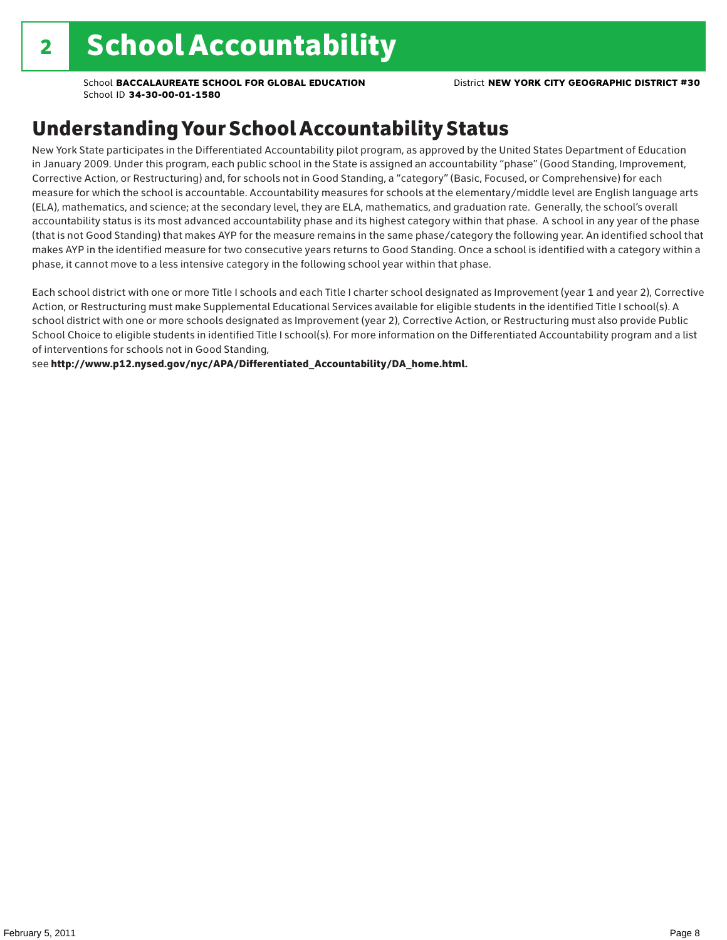### Understanding Your School Accountability Status

New York State participates in the Differentiated Accountability pilot program, as approved by the United States Department of Education in January 2009. Under this program, each public school in the State is assigned an accountability "phase" (Good Standing, Improvement, Corrective Action, or Restructuring) and, for schools not in Good Standing, a "category" (Basic, Focused, or Comprehensive) for each measure for which the school is accountable. Accountability measures for schools at the elementary/middle level are English language arts (ELA), mathematics, and science; at the secondary level, they are ELA, mathematics, and graduation rate. Generally, the school's overall accountability status is its most advanced accountability phase and its highest category within that phase. A school in any year of the phase (that is not Good Standing) that makes AYP for the measure remains in the same phase/category the following year. An identified school that makes AYP in the identified measure for two consecutive years returns to Good Standing. Once a school is identified with a category within a phase, it cannot move to a less intensive category in the following school year within that phase.

Each school district with one or more Title I schools and each Title I charter school designated as Improvement (year 1 and year 2), Corrective Action, or Restructuring must make Supplemental Educational Services available for eligible students in the identified Title I school(s). A school district with one or more schools designated as Improvement (year 2), Corrective Action, or Restructuring must also provide Public School Choice to eligible students in identified Title I school(s). For more information on the Differentiated Accountability program and a list of interventions for schools not in Good Standing,

see http://www.p12.nysed.gov/nyc/APA/Differentiated\_Accountability/DA\_home.html.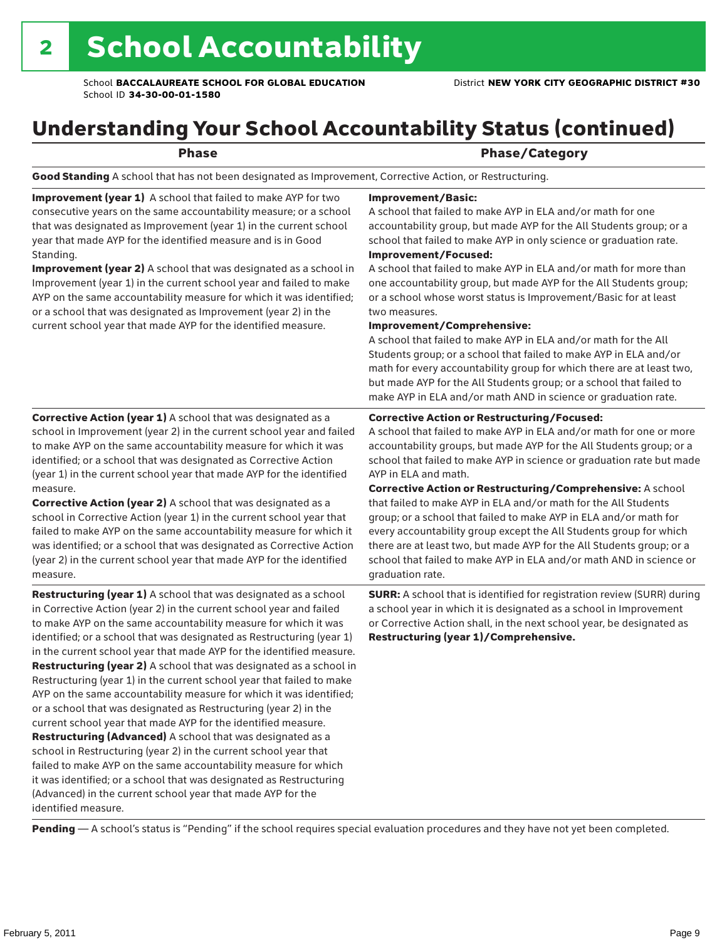### Understanding Your School Accountability Status (continued)

| <b>Phase</b>                                                                                                                                                                                                                                                                                                                                                                                                                                                                                                                                                                                                                                    | <b>Phase/Category</b>                                                                                                                                                                                                                                                                                                                                                                                                                                           |
|-------------------------------------------------------------------------------------------------------------------------------------------------------------------------------------------------------------------------------------------------------------------------------------------------------------------------------------------------------------------------------------------------------------------------------------------------------------------------------------------------------------------------------------------------------------------------------------------------------------------------------------------------|-----------------------------------------------------------------------------------------------------------------------------------------------------------------------------------------------------------------------------------------------------------------------------------------------------------------------------------------------------------------------------------------------------------------------------------------------------------------|
| Good Standing A school that has not been designated as Improvement, Corrective Action, or Restructuring.                                                                                                                                                                                                                                                                                                                                                                                                                                                                                                                                        |                                                                                                                                                                                                                                                                                                                                                                                                                                                                 |
| <b>Improvement (year 1)</b> A school that failed to make AYP for two<br>consecutive years on the same accountability measure; or a school<br>that was designated as Improvement (year 1) in the current school<br>year that made AYP for the identified measure and is in Good<br>Standing.<br>Improvement (year 2) A school that was designated as a school in<br>Improvement (year 1) in the current school year and failed to make<br>AYP on the same accountability measure for which it was identified;<br>or a school that was designated as Improvement (year 2) in the<br>current school year that made AYP for the identified measure. | <b>Improvement/Basic:</b><br>A school that failed to make AYP in ELA and/o<br>accountability group, but made AYP for the All<br>school that failed to make AYP in only science<br>Improvement/Focused:<br>A school that failed to make AYP in ELA and/o<br>one accountability group, but made AYP for th<br>or a school whose worst status is Improvemen<br>two measures.<br><b>Improvement/Comprehensive:</b><br>A school that failed to make AYP in ELA and/o |
|                                                                                                                                                                                                                                                                                                                                                                                                                                                                                                                                                                                                                                                 | Students group; or a school that failed to make<br>math for every accountability group for which<br>but made AYP for the All Students group; or a                                                                                                                                                                                                                                                                                                               |
|                                                                                                                                                                                                                                                                                                                                                                                                                                                                                                                                                                                                                                                 | make AYP in ELA and/or math AND in science                                                                                                                                                                                                                                                                                                                                                                                                                      |

Corrective Action (year 1) A school that was designated as a school in Improvement (year 2) in the current school year and failed to make AYP on the same accountability measure for which it was identified; or a school that was designated as Corrective Action (year 1) in the current school year that made AYP for the identified measure.

Corrective Action (year 2) A school that was designated as a school in Corrective Action (year 1) in the current school year that failed to make AYP on the same accountability measure for which it was identified; or a school that was designated as Corrective Action (year 2) in the current school year that made AYP for the identified measure.

Restructuring (year 1) A school that was designated as a school in Corrective Action (year 2) in the current school year and failed to make AYP on the same accountability measure for which it was identified; or a school that was designated as Restructuring (year 1) in the current school year that made AYP for the identified measure. Restructuring (year 2) A school that was designated as a school in Restructuring (year 1) in the current school year that failed to make AYP on the same accountability measure for which it was identified; or a school that was designated as Restructuring (year 2) in the current school year that made AYP for the identified measure. Restructuring (Advanced) A school that was designated as a school in Restructuring (year 2) in the current school year that failed to make AYP on the same accountability measure for which it was identified; or a school that was designated as Restructuring (Advanced) in the current school year that made AYP for the identified measure.

ake AYP in ELA and/or math for one made AYP for the All Students group; or a e AYP in only science or graduation rate.

ake AYP in ELA and/or math for more than o, but made AYP for the All Students group; status is Improvement/Basic for at least

#### hensive:

ake AYP in ELA and/or math for the All ool that failed to make AYP in ELA and/or bility group for which there are at least two, Students group; or a school that failed to math AND in science or graduation rate.

#### Corrective Action or Restructuring/Focused:

A school that failed to make AYP in ELA and/or math for one or more accountability groups, but made AYP for the All Students group; or a school that failed to make AYP in science or graduation rate but made AYP in ELA and math.

Corrective Action or Restructuring/Comprehensive: A school that failed to make AYP in ELA and/or math for the All Students group; or a school that failed to make AYP in ELA and/or math for every accountability group except the All Students group for which there are at least two, but made AYP for the All Students group; or a school that failed to make AYP in ELA and/or math AND in science or graduation rate.

SURR: A school that is identified for registration review (SURR) during a school year in which it is designated as a school in Improvement or Corrective Action shall, in the next school year, be designated as Restructuring (year 1)/Comprehensive.

Pending - A school's status is "Pending" if the school requires special evaluation procedures and they have not yet been completed.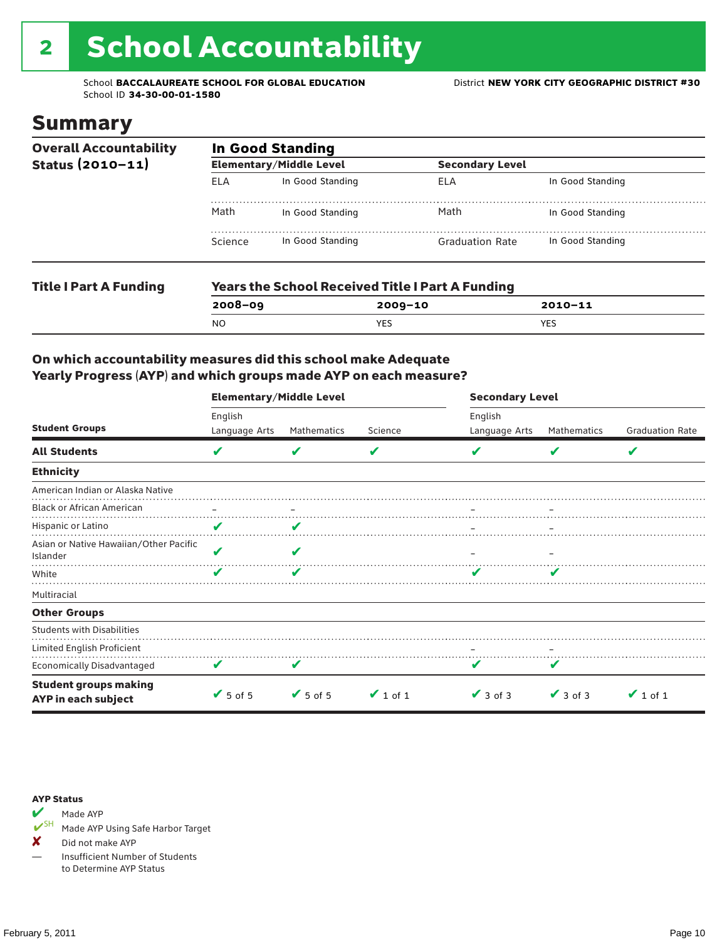# 2 School Accountability

School **BACCALAUREATE SCHOOL FOR GLOBAL EDUCATION** District **NEW YORK CITY GEOGRAPHIC DISTRICT #30** School ID **34-30-00-01-1580**

### Summary

| <b>Overall Accountability</b><br>Status $(2010 - 11)$ | <b>In Good Standing</b> |                                |                                                         |                  |  |  |
|-------------------------------------------------------|-------------------------|--------------------------------|---------------------------------------------------------|------------------|--|--|
|                                                       |                         | <b>Elementary/Middle Level</b> | <b>Secondary Level</b>                                  |                  |  |  |
|                                                       | <b>ELA</b>              | In Good Standing               | ELA                                                     | In Good Standing |  |  |
|                                                       | Math                    | In Good Standing               | Math                                                    | In Good Standing |  |  |
|                                                       | Science                 | In Good Standing               | <b>Graduation Rate</b>                                  | In Good Standing |  |  |
| <b>Title I Part A Funding</b>                         |                         |                                | <b>Years the School Received Title I Part A Funding</b> |                  |  |  |
|                                                       | $2008 - 09$             |                                | $2009 - 10$                                             | $2010 - 11$      |  |  |

NO YES YES

### On which accountability measures did this school make Adequate Yearly Progress (AYP) and which groups made AYP on each measure?

|                                                     | <b>Elementary/Middle Level</b> |                 |               | <b>Secondary Level</b>   |               |                        |  |
|-----------------------------------------------------|--------------------------------|-----------------|---------------|--------------------------|---------------|------------------------|--|
| <b>Student Groups</b>                               | English<br>Language Arts       | Mathematics     | Science       | English<br>Language Arts | Mathematics   | <b>Graduation Rate</b> |  |
| <b>All Students</b>                                 | V                              | v               | V             |                          |               | V                      |  |
| <b>Ethnicity</b>                                    |                                |                 |               |                          |               |                        |  |
| American Indian or Alaska Native                    |                                |                 |               |                          |               |                        |  |
| <b>Black or African American</b>                    |                                |                 |               |                          |               |                        |  |
| Hispanic or Latino                                  | V                              | V               |               |                          |               |                        |  |
| Asian or Native Hawaiian/Other Pacific<br>Islander  | V                              | V               |               |                          |               |                        |  |
| White                                               | v                              |                 |               |                          |               |                        |  |
| Multiracial                                         |                                |                 |               |                          |               |                        |  |
| <b>Other Groups</b>                                 |                                |                 |               |                          |               |                        |  |
| <b>Students with Disabilities</b>                   |                                |                 |               |                          |               |                        |  |
| Limited English Proficient                          |                                |                 |               |                          |               |                        |  |
| Economically Disadvantaged                          | V                              |                 |               |                          |               |                        |  |
| <b>Student groups making</b><br>AYP in each subject | $\sqrt{5}$ of 5                | $\sqrt{5}$ of 5 | $\vee$ 1 of 1 | $\vee$ 3 of 3            | $\vee$ 3 of 3 | $\vee$ 1 of 1          |  |

#### AYP Status



Made AYP Using Safe Harbor Target

X Did not make AYP

— Insufficient Number of Students to Determine AYP Status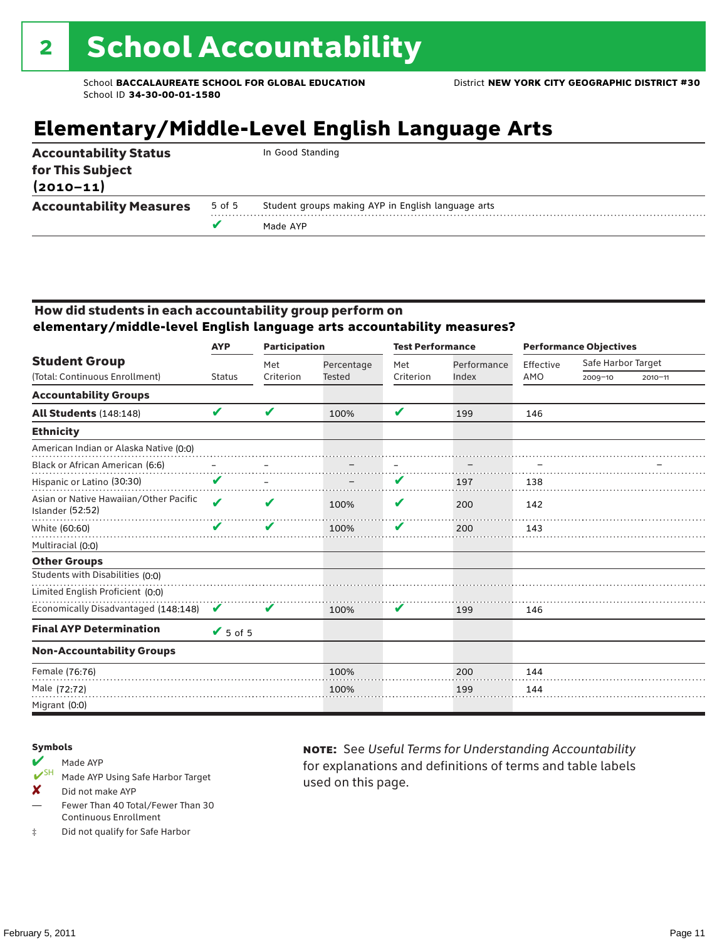## **Elementary/Middle-Level English Language Arts**

| <b>Accountability Measures</b><br>5 of 5                          | Student groups making AYP in English language arts |
|-------------------------------------------------------------------|----------------------------------------------------|
| <b>Accountability Status</b><br>for This Subject<br>$(2010 - 11)$ | In Good Standing                                   |

#### How did students in each accountability group perform on **elementary/middle-level English language arts accountability measures?**

|                                                            | <b>Participation</b><br><b>AYP</b> |           |            | <b>Test Performance</b> |             | <b>Performance Objectives</b> |                    |             |
|------------------------------------------------------------|------------------------------------|-----------|------------|-------------------------|-------------|-------------------------------|--------------------|-------------|
| <b>Student Group</b>                                       |                                    | Met       | Percentage | Met                     | Performance | Effective                     | Safe Harbor Target |             |
| (Total: Continuous Enrollment)                             | <b>Status</b>                      | Criterion | Tested     | Criterion               | Index       | AMO                           | $2009 - 10$        | $2010 - 11$ |
| <b>Accountability Groups</b>                               |                                    |           |            |                         |             |                               |                    |             |
| <b>All Students (148:148)</b>                              | V                                  | V         | 100%       | V                       | 199         | 146                           |                    |             |
| <b>Ethnicity</b>                                           |                                    |           |            |                         |             |                               |                    |             |
| American Indian or Alaska Native (0:0)                     |                                    |           |            |                         |             |                               |                    |             |
| Black or African American (6:6)                            |                                    |           |            |                         |             |                               |                    |             |
| Hispanic or Latino (30:30)                                 | V                                  |           |            | V                       | 197         | 138                           |                    |             |
| Asian or Native Hawaiian/Other Pacific<br>Islander (52:52) | $\boldsymbol{\mathcal{U}}$         | V         | 100%       | V                       | 200         | 142                           |                    |             |
| White (60:60)                                              | V                                  | V         | 100%       | V                       | 200         | 143                           |                    |             |
| Multiracial (0:0)                                          |                                    |           |            |                         |             |                               |                    |             |
| <b>Other Groups</b>                                        |                                    |           |            |                         |             |                               |                    |             |
| Students with Disabilities (0:0)                           |                                    |           |            |                         |             |                               |                    |             |
| Limited English Proficient (0:0)                           |                                    |           |            |                         |             |                               |                    |             |
| Economically Disadvantaged (148:148)                       | V                                  | V         | 100%       | V                       | 199         | 146                           |                    |             |
| <b>Final AYP Determination</b>                             | $V$ 5 of 5                         |           |            |                         |             |                               |                    |             |
| <b>Non-Accountability Groups</b>                           |                                    |           |            |                         |             |                               |                    |             |
| Female (76:76)                                             |                                    |           | 100%       |                         | 200         | 144                           |                    |             |
| Male (72:72)                                               |                                    |           | 100%       |                         | 199         | 144                           |                    |             |
| Migrant (0:0)                                              |                                    |           |            |                         |             |                               |                    |             |

#### Symbols

- Made AYP<br> **V**SH Made AVP Made AYP Using Safe Harbor Target
- X Did not make AYP
- Fewer Than 40 Total/Fewer Than 30 Continuous Enrollment
- ‡ Did not qualify for Safe Harbor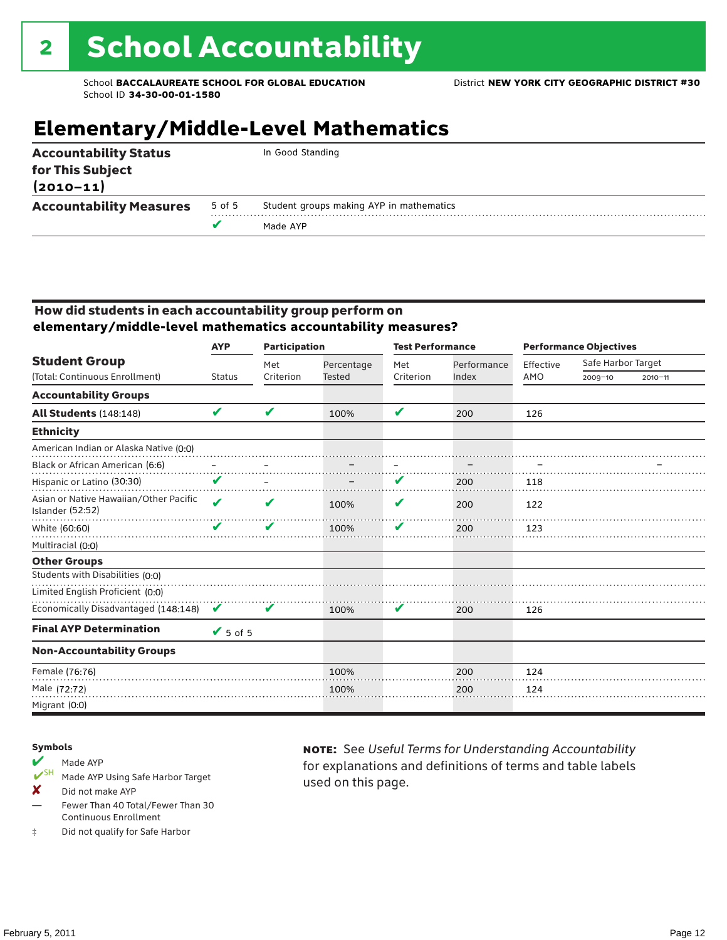## **Elementary/Middle-Level Mathematics**

|                                                                   |        | Made AYP                                 |  |
|-------------------------------------------------------------------|--------|------------------------------------------|--|
| <b>Accountability Measures</b>                                    | 5 of 5 | Student groups making AYP in mathematics |  |
| <b>Accountability Status</b><br>for This Subject<br>$(2010 - 11)$ |        | In Good Standing                         |  |

#### How did students in each accountability group perform on **elementary/middle-level mathematics accountability measures?**

|                                                            | <b>Participation</b><br><b>AYP</b> |           |            | <b>Test Performance</b> |             | <b>Performance Objectives</b> |                    |             |
|------------------------------------------------------------|------------------------------------|-----------|------------|-------------------------|-------------|-------------------------------|--------------------|-------------|
| <b>Student Group</b>                                       |                                    | Met       | Percentage | Met                     | Performance | Effective                     | Safe Harbor Target |             |
| (Total: Continuous Enrollment)                             | <b>Status</b>                      | Criterion | Tested     | Criterion               | Index       | AMO                           | $2009 - 10$        | $2010 - 11$ |
| <b>Accountability Groups</b>                               |                                    |           |            |                         |             |                               |                    |             |
| <b>All Students (148:148)</b>                              | V                                  | V         | 100%       | V                       | 200         | 126                           |                    |             |
| <b>Ethnicity</b>                                           |                                    |           |            |                         |             |                               |                    |             |
| American Indian or Alaska Native (0:0)                     |                                    |           |            |                         |             |                               |                    |             |
| Black or African American (6:6)                            |                                    |           |            |                         |             |                               |                    |             |
| Hispanic or Latino (30:30)                                 | V                                  |           |            | V                       | 200         | 118                           |                    |             |
| Asian or Native Hawaiian/Other Pacific<br>Islander (52:52) | $\boldsymbol{\mathcal{U}}$         | V         | 100%       | V                       | 200         | 122                           |                    |             |
| White (60:60)                                              | V                                  | V         | 100%       | V                       | 200         | 123                           |                    |             |
| Multiracial (0:0)                                          |                                    |           |            |                         |             |                               |                    |             |
| <b>Other Groups</b>                                        |                                    |           |            |                         |             |                               |                    |             |
| Students with Disabilities (0:0)                           |                                    |           |            |                         |             |                               |                    |             |
| Limited English Proficient (0:0)                           |                                    |           |            |                         |             |                               |                    |             |
| Economically Disadvantaged (148:148)                       | V                                  | V         | 100%       | V                       | 200         | 126                           |                    |             |
| <b>Final AYP Determination</b>                             | $V$ 5 of 5                         |           |            |                         |             |                               |                    |             |
| <b>Non-Accountability Groups</b>                           |                                    |           |            |                         |             |                               |                    |             |
| Female (76:76)                                             |                                    |           | 100%       |                         | 200         | 124                           |                    |             |
| Male (72:72)                                               |                                    |           | 100%       |                         | 200         | 124                           |                    |             |
| Migrant (0:0)                                              |                                    |           |            |                         |             |                               |                    |             |

#### Symbols

- Made AYP<br> **V**SH Made AVP Made AYP Using Safe Harbor Target
- X Did not make AYP
- Fewer Than 40 Total/Fewer Than 30 Continuous Enrollment
- ‡ Did not qualify for Safe Harbor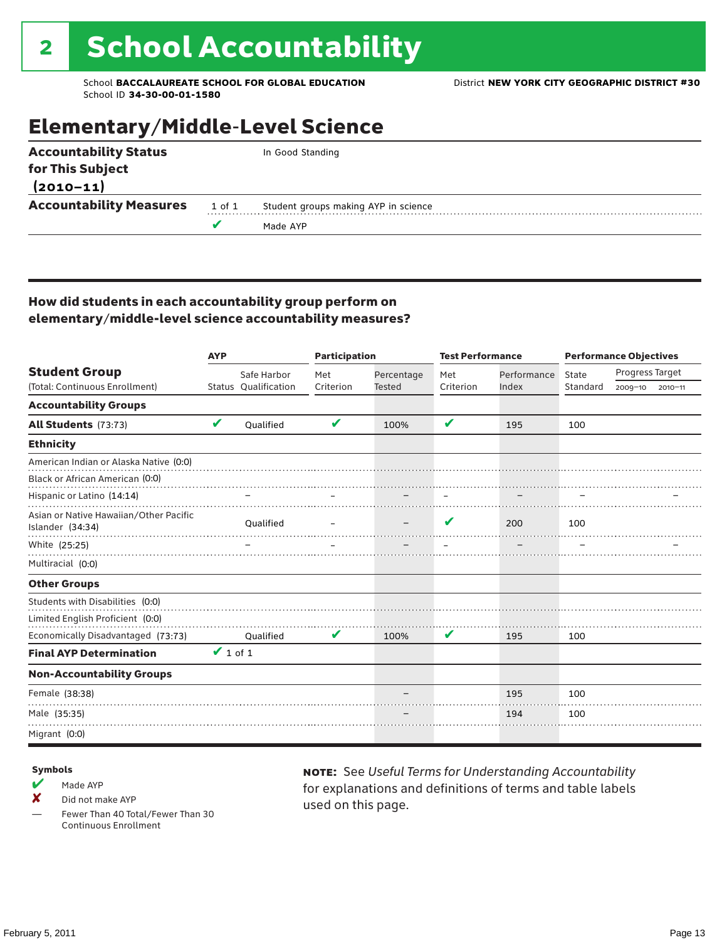## Elementary/Middle-Level Science

| <b>Accountability Status</b>   |        | In Good Standing                     |
|--------------------------------|--------|--------------------------------------|
| for This Subject               |        |                                      |
| $(2010 - 11)$                  |        |                                      |
| <b>Accountability Measures</b> | 1 of 1 | Student groups making AYP in science |
|                                |        | Made AYP                             |
|                                |        |                                      |

### How did students in each accountability group perform on elementary/middle-level science accountability measures?

|                                                            | <b>AYP</b>    |                      | <b>Participation</b> |               | <b>Test Performance</b> |             | <b>Performance Objectives</b> |                 |  |
|------------------------------------------------------------|---------------|----------------------|----------------------|---------------|-------------------------|-------------|-------------------------------|-----------------|--|
| <b>Student Group</b>                                       |               | Safe Harbor          | Met                  | Percentage    | Met                     | Performance | State                         | Progress Target |  |
| (Total: Continuous Enrollment)                             |               | Status Qualification | Criterion            | <b>Tested</b> | Criterion               | Index       | Standard                      | 2009-10 2010-11 |  |
| <b>Accountability Groups</b>                               |               |                      |                      |               |                         |             |                               |                 |  |
| All Students (73:73)                                       | V             | Oualified            | V                    | 100%          | V                       | 195         | 100                           |                 |  |
| <b>Ethnicity</b>                                           |               |                      |                      |               |                         |             |                               |                 |  |
| American Indian or Alaska Native (0:0)                     |               |                      |                      |               |                         |             |                               |                 |  |
| Black or African American (0:0)                            |               |                      |                      |               |                         |             |                               |                 |  |
| Hispanic or Latino (14:14)                                 |               |                      |                      |               |                         |             |                               |                 |  |
| Asian or Native Hawaiian/Other Pacific<br>Islander (34:34) |               | Oualified            |                      |               | V                       | 200         | 100                           |                 |  |
| White (25:25)                                              |               |                      |                      |               |                         |             |                               |                 |  |
| Multiracial (0:0)                                          |               |                      |                      |               |                         |             |                               |                 |  |
| <b>Other Groups</b>                                        |               |                      |                      |               |                         |             |                               |                 |  |
| Students with Disabilities (0:0)                           |               |                      |                      |               |                         |             |                               |                 |  |
| Limited English Proficient (0:0)                           |               |                      |                      |               |                         |             |                               |                 |  |
| Economically Disadvantaged (73:73)                         |               | Oualified            | V                    | 100%          | V                       | 195         | 100                           |                 |  |
| <b>Final AYP Determination</b>                             | $\vee$ 1 of 1 |                      |                      |               |                         |             |                               |                 |  |
| <b>Non-Accountability Groups</b>                           |               |                      |                      |               |                         |             |                               |                 |  |
| Female (38:38)                                             |               |                      |                      |               |                         | 195         | 100                           |                 |  |
| Male (35:35)                                               |               |                      |                      |               |                         | 194         | 100                           |                 |  |
| Migrant (0:0)                                              |               |                      |                      |               |                         |             |                               |                 |  |

#### Symbols

- $M$  Made AYP
- X Did not make AYP
- Fewer Than 40 Total/Fewer Than 30 Continuous Enrollment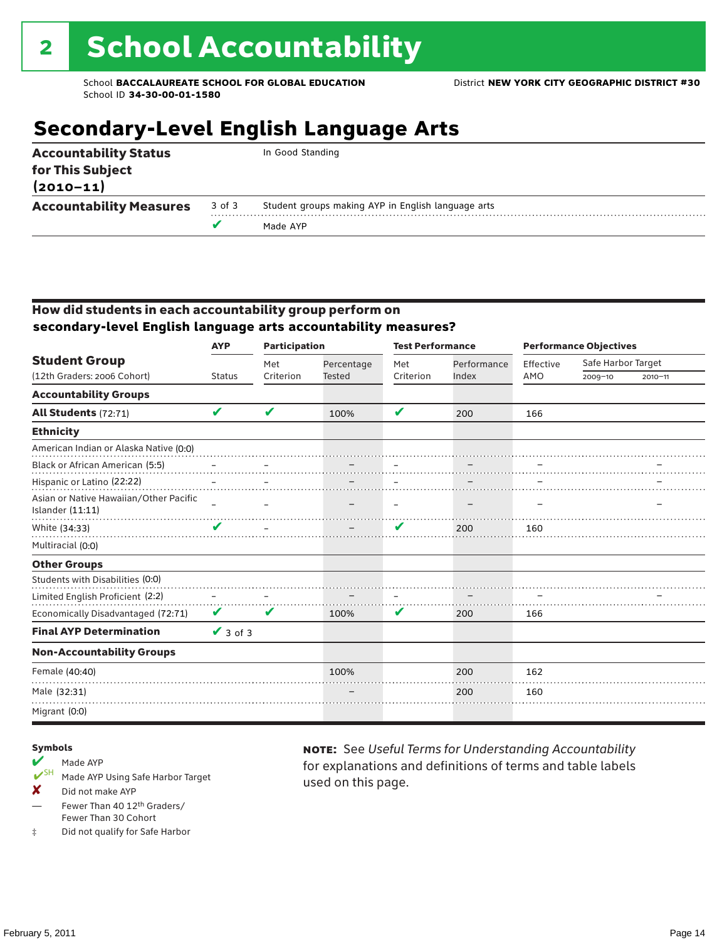### **Secondary-Level English Language Arts**

|                                                                   |        | Made AYP                                           |  |
|-------------------------------------------------------------------|--------|----------------------------------------------------|--|
| <b>Accountability Measures</b>                                    | 3 of 3 | Student groups making AYP in English language arts |  |
| <b>Accountability Status</b><br>for This Subject<br>$(2010 - 11)$ |        | In Good Standing                                   |  |

#### How did students in each accountability group perform on **secondary-level English language arts accountability measures?**

|                                                                   | <b>AYP</b>      | <b>Participation</b> |                             | <b>Test Performance</b> |                      | <b>Performance Objectives</b> |                                   |             |
|-------------------------------------------------------------------|-----------------|----------------------|-----------------------------|-------------------------|----------------------|-------------------------------|-----------------------------------|-------------|
| <b>Student Group</b><br>(12th Graders: 2006 Cohort)               | <b>Status</b>   | Met<br>Criterion     | Percentage<br><b>Tested</b> | Met<br>Criterion        | Performance<br>Index | Effective<br>AMO              | Safe Harbor Target<br>$2009 - 10$ | $2010 - 11$ |
| <b>Accountability Groups</b>                                      |                 |                      |                             |                         |                      |                               |                                   |             |
| All Students (72:71)                                              | V               | V                    | 100%                        | V                       | 200                  | 166                           |                                   |             |
| <b>Ethnicity</b>                                                  |                 |                      |                             |                         |                      |                               |                                   |             |
| American Indian or Alaska Native (0:0)                            |                 |                      |                             |                         |                      |                               |                                   |             |
| Black or African American (5:5)                                   |                 |                      |                             |                         |                      |                               |                                   |             |
| Hispanic or Latino (22:22)                                        |                 |                      |                             |                         |                      |                               |                                   |             |
| Asian or Native Hawaiian/Other Pacific<br><b>Islander (11:11)</b> |                 |                      |                             |                         |                      |                               |                                   |             |
| White (34:33)                                                     |                 |                      |                             | V                       | 200                  | 160                           |                                   |             |
| Multiracial (0:0)                                                 |                 |                      |                             |                         |                      |                               |                                   |             |
| <b>Other Groups</b>                                               |                 |                      |                             |                         |                      |                               |                                   |             |
| Students with Disabilities (0:0)                                  |                 |                      |                             |                         |                      |                               |                                   |             |
| Limited English Proficient (2:2)                                  |                 |                      |                             |                         |                      |                               |                                   |             |
| Economically Disadvantaged (72:71)                                | V               | V                    | 100%                        | V                       | 200                  | 166                           |                                   |             |
| <b>Final AYP Determination</b>                                    | $\sqrt{3}$ of 3 |                      |                             |                         |                      |                               |                                   |             |
| <b>Non-Accountability Groups</b>                                  |                 |                      |                             |                         |                      |                               |                                   |             |
| Female (40:40)                                                    |                 |                      | 100%                        |                         | 200                  | 162                           |                                   |             |
| Male (32:31)                                                      |                 |                      |                             |                         | 200                  | 160                           |                                   |             |
| Migrant (0:0)                                                     |                 |                      |                             |                         |                      |                               |                                   |             |

#### Symbols

- Made AYP Made AYP Using Safe Harbor Target
- X Did not make AYP
- Fewer Than 40 12th Graders/ Fewer Than 30 Cohort
- ‡ Did not qualify for Safe Harbor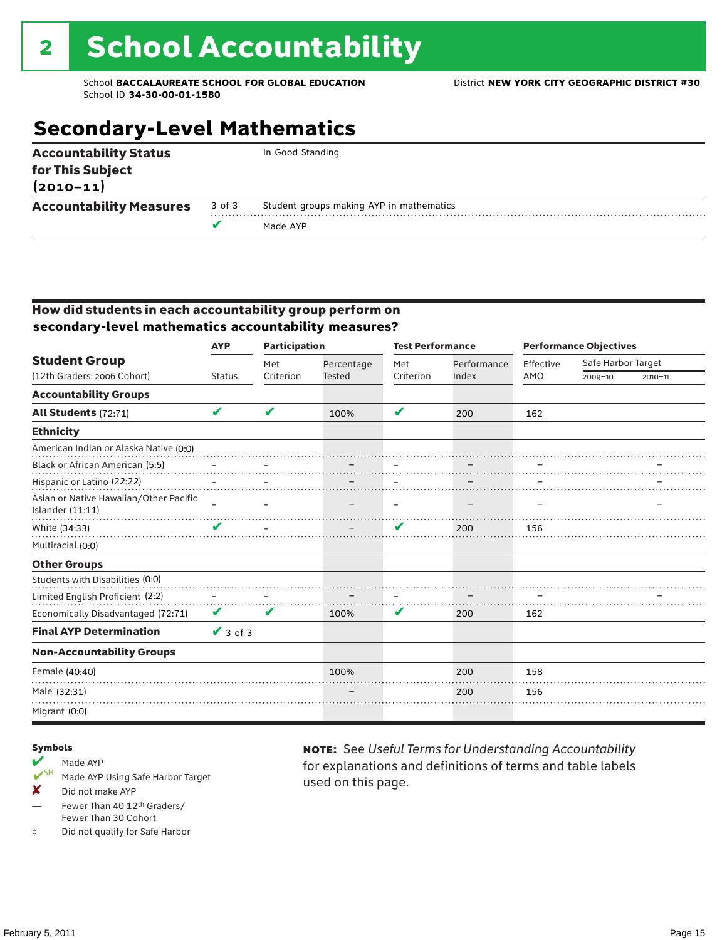### **Secondary-Level Mathematics**

| <b>Accountability Status</b><br>for This Subject<br>$(2010 - 11)$ |        | In Good Standing                         |
|-------------------------------------------------------------------|--------|------------------------------------------|
| <b>Accountability Measures</b>                                    | 3 of 3 | Student groups making AYP in mathematics |
|                                                                   |        | Made AYP                                 |
|                                                                   |        |                                          |

#### How did students in each accountability group perform on **secondary-level mathematics accountability measures?**

|                                                                   | <b>Participation</b><br><b>AYP</b> |           |               | <b>Test Performance</b> |             | <b>Performance Objectives</b> |                    |             |
|-------------------------------------------------------------------|------------------------------------|-----------|---------------|-------------------------|-------------|-------------------------------|--------------------|-------------|
| <b>Student Group</b>                                              |                                    | Met       | Percentage    | Met                     | Performance | Effective                     | Safe Harbor Target |             |
| (12th Graders: 2006 Cohort)                                       | <b>Status</b>                      | Criterion | <b>Tested</b> | Criterion               | Index       | AMO                           | $2009 - 10$        | $2010 - 11$ |
| <b>Accountability Groups</b>                                      |                                    |           |               |                         |             |                               |                    |             |
| <b>All Students (72:71)</b>                                       | V                                  | V         | 100%          | V                       | 200         | 162                           |                    |             |
| <b>Ethnicity</b>                                                  |                                    |           |               |                         |             |                               |                    |             |
| American Indian or Alaska Native (0:0)                            |                                    |           |               |                         |             |                               |                    |             |
| Black or African American (5:5)                                   |                                    |           |               |                         |             |                               |                    |             |
| Hispanic or Latino (22:22)                                        |                                    |           |               |                         |             |                               |                    |             |
| Asian or Native Hawaiian/Other Pacific<br><b>Islander (11:11)</b> |                                    |           |               |                         |             |                               |                    |             |
| White (34:33)                                                     | v                                  |           |               | V                       | 200         | 156                           |                    |             |
| Multiracial (0:0)                                                 |                                    |           |               |                         |             |                               |                    |             |
| <b>Other Groups</b>                                               |                                    |           |               |                         |             |                               |                    |             |
| Students with Disabilities (0:0)                                  |                                    |           |               |                         |             |                               |                    |             |
| Limited English Proficient (2:2)                                  |                                    |           |               |                         |             |                               |                    |             |
| Economically Disadvantaged (72:71)                                | V                                  | V         | 100%          | V                       | 200         | 162                           |                    |             |
| <b>Final AYP Determination</b>                                    | $\sqrt{3}$ of 3                    |           |               |                         |             |                               |                    |             |
| <b>Non-Accountability Groups</b>                                  |                                    |           |               |                         |             |                               |                    |             |
| Female (40:40)                                                    |                                    |           | 100%          |                         | 200         | 158                           |                    |             |
| Male (32:31)                                                      |                                    |           |               |                         | 200         | 156                           |                    |             |
| Migrant (0:0)                                                     |                                    |           |               |                         |             |                               |                    |             |

#### Symbols

- Made AYP Made AYP Using Safe Harbor Target
- X Did not make AYP
- Fewer Than 40 12th Graders/ Fewer Than 30 Cohort
- ‡ Did not qualify for Safe Harbor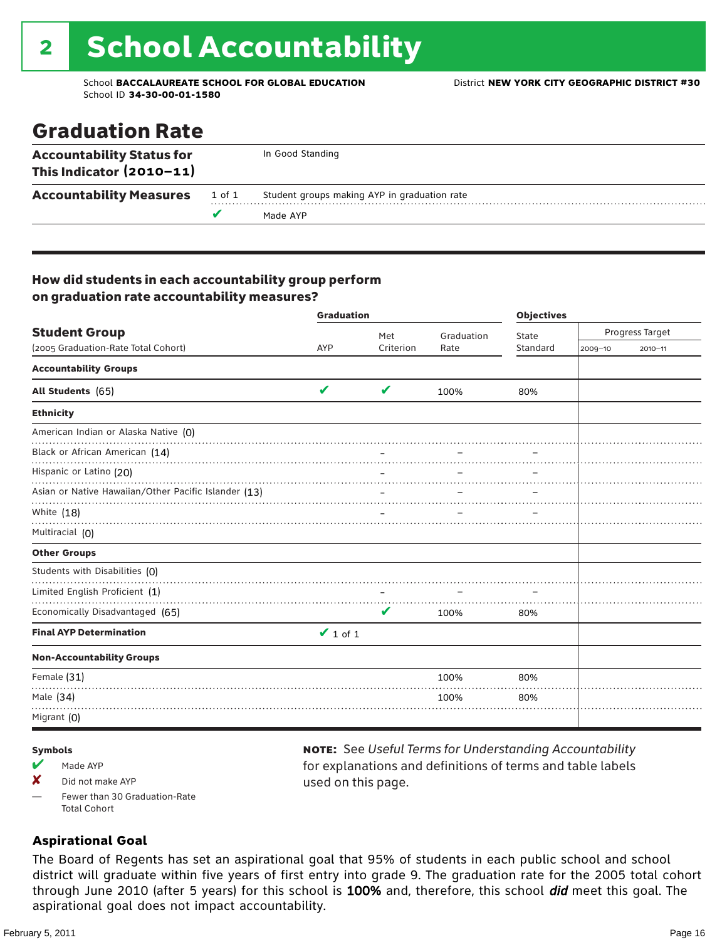# 2 School Accountability

School **BACCALAUREATE SCHOOL FOR GLOBAL EDUCATION** District **NEW YORK CITY GEOGRAPHIC DISTRICT #30** School ID **34-30-00-01-1580**

### Graduation Rate

| <b>Accountability Status for</b><br>This Indicator $(2010-11)$ |        | In Good Standing                             |
|----------------------------------------------------------------|--------|----------------------------------------------|
| <b>Accountability Measures</b>                                 | 1 of 1 | Student groups making AYP in graduation rate |
|                                                                |        | Made AYP                                     |

### How did students in each accountability group perform on graduation rate accountability measures?

|                                                      | <b>Graduation</b> |             | <b>Objectives</b> |          |             |                 |
|------------------------------------------------------|-------------------|-------------|-------------------|----------|-------------|-----------------|
| <b>Student Group</b>                                 |                   | Met         | Graduation        | State    |             | Progress Target |
| (2005 Graduation-Rate Total Cohort)                  | AYP               | Criterion   | Rate              | Standard | $2009 - 10$ | $2010 - 11$     |
| <b>Accountability Groups</b>                         |                   |             |                   |          |             |                 |
| All Students (65)                                    | V                 | $\mathbf v$ | 100%              | 80%      |             |                 |
| <b>Ethnicity</b>                                     |                   |             |                   |          |             |                 |
| American Indian or Alaska Native (0)                 |                   |             |                   |          |             |                 |
| Black or African American (14)                       |                   |             |                   |          |             |                 |
| Hispanic or Latino (20)                              |                   |             |                   |          |             |                 |
| Asian or Native Hawaiian/Other Pacific Islander (13) |                   |             |                   |          |             |                 |
| White $(18)$                                         |                   |             |                   |          |             |                 |
| Multiracial (0)                                      |                   |             |                   |          |             |                 |
| <b>Other Groups</b>                                  |                   |             |                   |          |             |                 |
| Students with Disabilities (0)                       |                   |             |                   |          |             |                 |
| Limited English Proficient (1)                       |                   |             |                   |          |             |                 |
| Economically Disadvantaged (65)                      |                   | V           | 100%              | 80%      |             |                 |
| <b>Final AYP Determination</b>                       | $\vee$ 1 of 1     |             |                   |          |             |                 |
| <b>Non-Accountability Groups</b>                     |                   |             |                   |          |             |                 |
| Female (31)                                          |                   |             | 100%              | 80%      |             |                 |
| Male (34)                                            |                   |             | 100%              | 80%      |             |                 |
| Migrant (0)                                          |                   |             |                   |          |             |                 |

#### Symbols

- $M$  Made AYP
- $\times$  Did not make AYP
- Fewer than 30 Graduation-Rate Total Cohort

#### note: See *Useful Terms for Understanding Accountability*  for explanations and definitions of terms and table labels used on this page.

#### **Aspirational Goal**

The Board of Regents has set an aspirational goal that 95% of students in each public school and school district will graduate within five years of first entry into grade 9. The graduation rate for the 2005 total cohort through June 2010 (after 5 years) for this school is 100% and, therefore, this school did meet this goal. The aspirational goal does not impact accountability.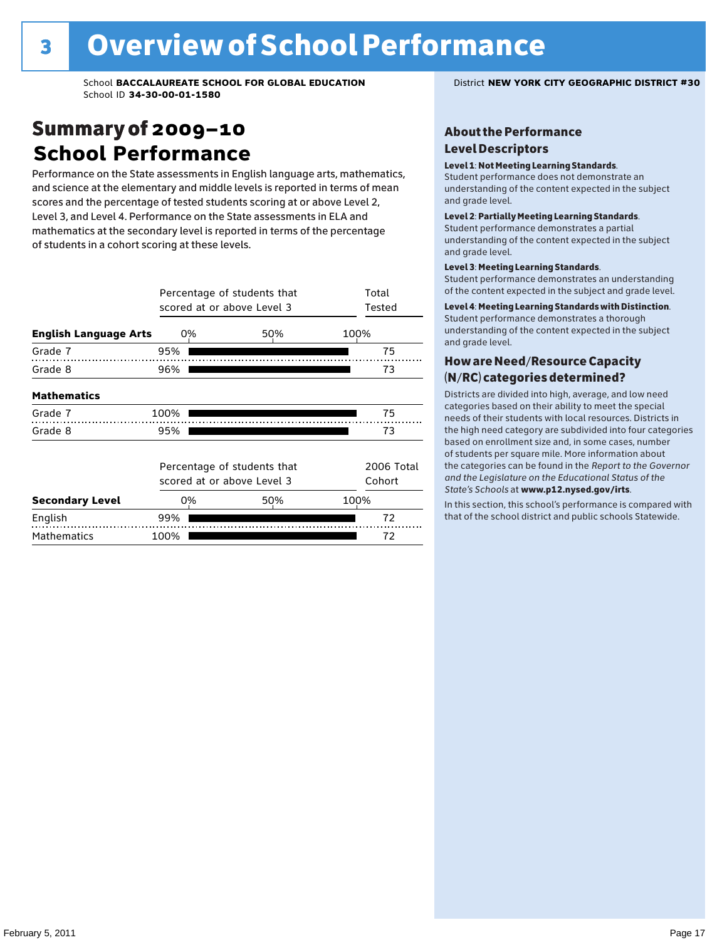### Summary of 2009–10 **School Performance**

Performance on the State assessments in English language arts, mathematics, and science at the elementary and middle levels is reported in terms of mean scores and the percentage of tested students scoring at or above Level 2, Level 3, and Level 4. Performance on the State assessments in ELA and mathematics at the secondary level is reported in terms of the percentage of students in a cohort scoring at these levels.

|                              |      | Percentage of students that<br>scored at or above Level 3 |      |                      |  |  |  |  |
|------------------------------|------|-----------------------------------------------------------|------|----------------------|--|--|--|--|
| <b>English Language Arts</b> | 0%   | 100%<br>50%                                               |      |                      |  |  |  |  |
| Grade 7                      | 95%  |                                                           |      | 75                   |  |  |  |  |
| Grade 8                      | 96%  |                                                           |      | 73                   |  |  |  |  |
| <b>Mathematics</b>           |      |                                                           |      |                      |  |  |  |  |
| Grade 7                      | 100% |                                                           |      | 75                   |  |  |  |  |
| Grade 8                      | 95%  |                                                           |      | 73                   |  |  |  |  |
|                              |      | Percentage of students that<br>scored at or above Level 3 |      | 2006 Total<br>Cohort |  |  |  |  |
| <b>Secondary Level</b>       | 0%   | 50%                                                       | 100% |                      |  |  |  |  |
| English                      | 99%  |                                                           |      | 72                   |  |  |  |  |
| <b>Mathematics</b>           | 100% |                                                           |      | 72                   |  |  |  |  |

#### About the Performance Level Descriptors

#### Level 1: Not Meeting Learning Standards.

Student performance does not demonstrate an understanding of the content expected in the subject and grade level.

#### Level 2: Partially Meeting Learning Standards.

Student performance demonstrates a partial understanding of the content expected in the subject and grade level.

#### Level 3: Meeting Learning Standards.

Student performance demonstrates an understanding of the content expected in the subject and grade level.

#### Level 4: Meeting Learning Standards with Distinction.

Student performance demonstrates a thorough understanding of the content expected in the subject and grade level.

#### How are Need/Resource Capacity (N/RC) categories determined?

Districts are divided into high, average, and low need categories based on their ability to meet the special needs of their students with local resources. Districts in the high need category are subdivided into four categories based on enrollment size and, in some cases, number of students per square mile. More information about the categories can be found in the *Report to the Governor and the Legislature on the Educational Status of the*  State's Schools at www.p12.nysed.gov/irts.

In this section, this school's performance is compared with<br>that of the school district and multigarhaals Statemide In this section, this school's performance is compared that of the school district and public schools Statewide.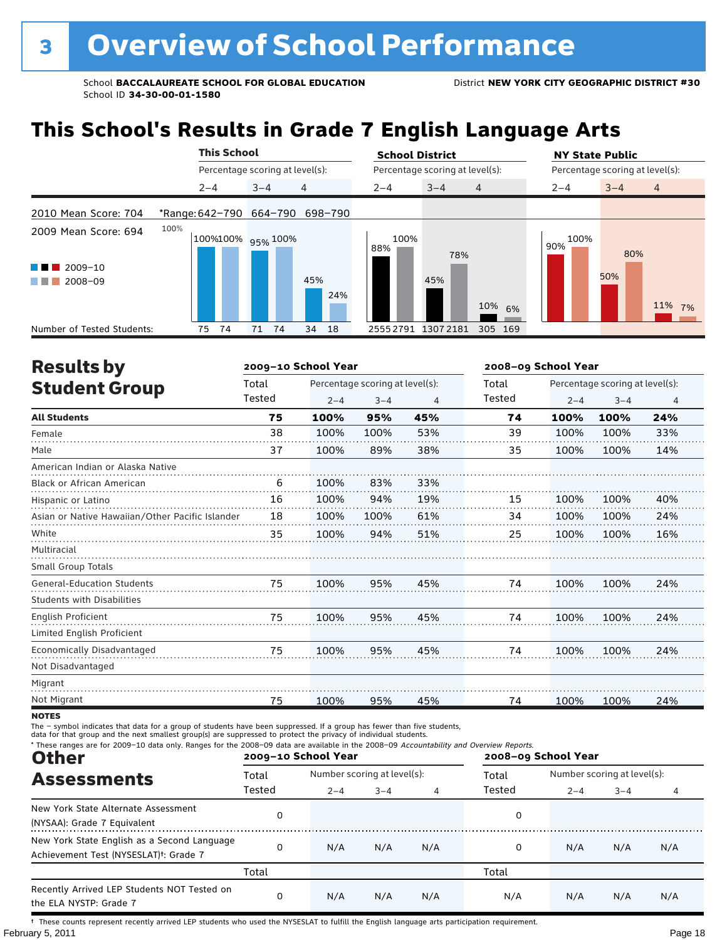## **This School's Results in Grade 7 English Language Arts**

|                                                                        |         | <b>This School</b> |                   |                                 | <b>School District</b> |                                 |             | <b>NY State Public</b>          |  |  |
|------------------------------------------------------------------------|---------|--------------------|-------------------|---------------------------------|------------------------|---------------------------------|-------------|---------------------------------|--|--|
|                                                                        |         |                    |                   | Percentage scoring at level(s): |                        | Percentage scoring at level(s): |             | Percentage scoring at level(s): |  |  |
|                                                                        | $2 - 4$ |                    | $3 - 4$           | 4                               | $2 - 4$                | $3 - 4$<br>$\overline{4}$       | $2 - 4$     | $\overline{4}$<br>$3 - 4$       |  |  |
| 2010 Mean Score: 704                                                   |         |                    |                   | *Range: 642-790 664-790 698-790 |                        |                                 |             |                                 |  |  |
| 2009 Mean Score: 694<br>$2009 - 10$<br>a sa Tan<br>2008-09<br>a sa Tan | 100%    |                    | 100%100% 95% 100% | 45%<br>24%                      | 100%<br>88%            | 78%<br>45%<br>10% 6%            | 100%<br>90% | 80%<br>50%<br>11% 7%            |  |  |
| Number of Tested Students:                                             | 75      | 74                 | 74<br>71          | 18<br>34                        | 25552791               | 13072181<br>305 169             |             |                                 |  |  |

| <b>Results by</b>                               |        | 2009-10 School Year |                                 |     | 2008-09 School Year |         |                                 |                |
|-------------------------------------------------|--------|---------------------|---------------------------------|-----|---------------------|---------|---------------------------------|----------------|
| <b>Student Group</b>                            | Total  |                     | Percentage scoring at level(s): |     | Total               |         | Percentage scoring at level(s): |                |
|                                                 | Tested | $2 - 4$             | $3 - 4$                         | 4   | Tested              | $2 - 4$ | $3 - 4$                         | $\overline{4}$ |
| <b>All Students</b>                             | 75     | 100%                | 95%                             | 45% | 74                  | 100%    | 100%                            | 24%            |
| Female                                          | 38     | 100%                | 100%                            | 53% | 39                  | 100%    | 100%                            | 33%            |
| Male                                            | 37     | 100%                | 89%                             | 38% | 35                  | 100%    | 100%                            | 14%            |
| American Indian or Alaska Native                |        |                     |                                 |     |                     |         |                                 |                |
| <b>Black or African American</b>                | 6      | 100%                | 83%                             | 33% |                     |         |                                 |                |
| Hispanic or Latino                              | 16     | 100%                | 94%                             | 19% | 15                  | 100%    | 100%                            | 40%            |
| Asian or Native Hawaiian/Other Pacific Islander | 18     | 100%                | 100%                            | 61% | 34                  | 100%    | 100%                            | 24%            |
| White                                           | 35     | 100%                | 94%                             | 51% | 25                  | 100%    | 100%                            | 16%            |
| Multiracial                                     |        |                     |                                 |     |                     |         |                                 |                |
| <b>Small Group Totals</b>                       |        |                     |                                 |     |                     |         |                                 |                |
| <b>General-Education Students</b>               | 75     | 100%                | 95%                             | 45% | 74                  | 100%    | 100%                            | 24%            |
| <b>Students with Disabilities</b>               |        |                     |                                 |     |                     |         |                                 |                |
| <b>English Proficient</b>                       | 75     | 100%                | 95%                             | 45% | 74                  | 100%    | 100%                            | 24%            |
| Limited English Proficient                      |        |                     |                                 |     |                     |         |                                 |                |
| Economically Disadvantaged                      | 75     | 100%                | 95%                             | 45% | 74                  | 100%    | 100%                            | 24%            |
| Not Disadvantaged                               |        |                     |                                 |     |                     |         |                                 |                |
| Migrant                                         |        |                     |                                 |     |                     |         |                                 |                |
| Not Migrant                                     | 75     | 100%                | 95%                             | 45% | 74                  | 100%    | 100%                            | 24%            |

**NOTES** 

The – symbol indicates that data for a group of students have been suppressed. If a group has fewer than five students,<br>data for that group and the next smallest group(s) are suppressed to protect the privacy of individual

| * These ranges are for 2009-10 data only. Ranges for the 2008-09 data are available in the 2008-09 Accountability and Overview Reports.<br><b>Other</b> |        | 2009-10 School Year |                             |     | 2008-09 School Year |                             |         |     |
|---------------------------------------------------------------------------------------------------------------------------------------------------------|--------|---------------------|-----------------------------|-----|---------------------|-----------------------------|---------|-----|
| <b>Assessments</b>                                                                                                                                      | Total  |                     | Number scoring at level(s): |     |                     | Number scoring at level(s): |         |     |
|                                                                                                                                                         | Tested | $2 - 4$             | $3 - 4$                     |     | Tested              | $2 - 4$                     | $3 - 4$ | 4   |
| New York State Alternate Assessment<br>(NYSAA): Grade 7 Equivalent                                                                                      | 0      |                     |                             |     | 0                   |                             |         |     |
| New York State English as a Second Language<br>Achievement Test (NYSESLAT) <sup>+</sup> : Grade 7                                                       | 0      | N/A                 | N/A                         | N/A | 0                   | N/A                         | N/A     | N/A |
|                                                                                                                                                         | Total  |                     |                             |     | Total               |                             |         |     |
| Recently Arrived LEP Students NOT Tested on<br>the ELA NYSTP: Grade 7                                                                                   | 0      | N/A                 | N/A                         | N/A | N/A                 | N/A                         | N/A     | N/A |

February 5, 2011 **Page 18** † These counts represent recently arrived LEP students who used the NYSESLAT to fulfill the English language arts participation requirement.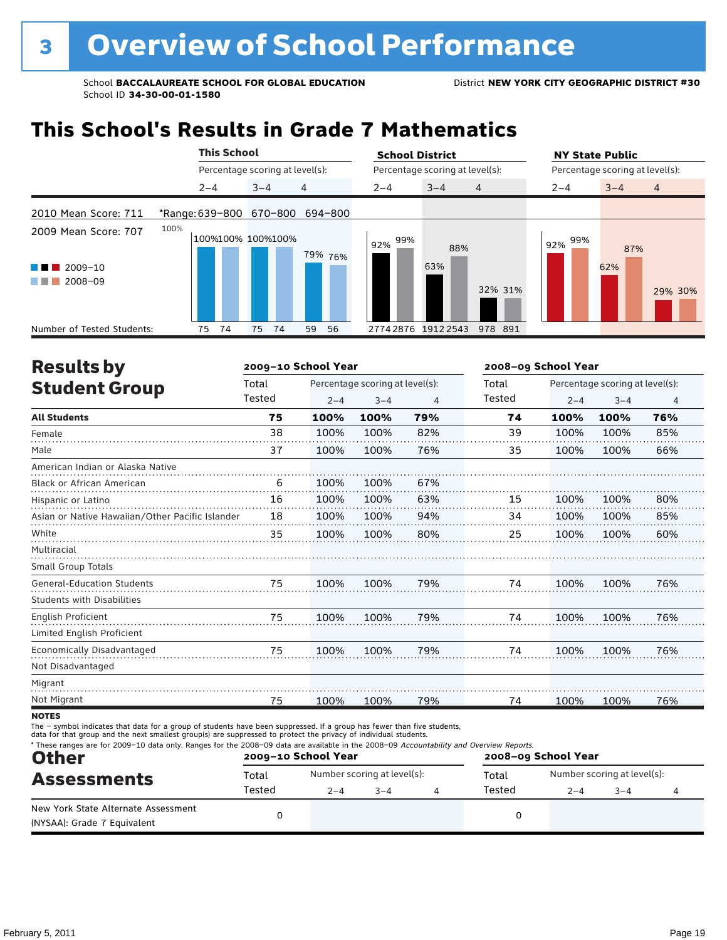### **This School's Results in Grade 7 Mathematics**

|                                                           | <b>This School</b>        |                                 | <b>School District</b>               | <b>NY State Public</b>                        |
|-----------------------------------------------------------|---------------------------|---------------------------------|--------------------------------------|-----------------------------------------------|
|                                                           |                           | Percentage scoring at level(s): | Percentage scoring at level(s):      | Percentage scoring at level(s):               |
|                                                           | $2 - 4$                   | 4<br>$3 - 4$                    | $2 - 4$<br>$3 - 4$<br>$\overline{4}$ | $\overline{4}$<br>$2 - 4$<br>$3 - 4$          |
| 2010 Mean Score: 711                                      |                           | *Range: 639-800 670-800 694-800 |                                      |                                               |
| 2009 Mean Score: 707<br>$\blacksquare$ 2009-10<br>2008-09 | 100%<br>100%100% 100%100% | 79% 76%                         | 99%<br>92%<br>88%<br>63%<br>32% 31%  | l 92% <sup>99%</sup><br>87%<br>62%<br>29% 30% |
| Number of Tested Students:                                | 74<br>75                  | 74<br>56<br>59<br>75            | 19122543<br>27742876<br>978 891      |                                               |

| <b>Results by</b>                               |        | 2009-10 School Year |                                 |     | 2008-09 School Year |                                 |         |     |
|-------------------------------------------------|--------|---------------------|---------------------------------|-----|---------------------|---------------------------------|---------|-----|
| <b>Student Group</b>                            | Total  |                     | Percentage scoring at level(s): |     | Total               | Percentage scoring at level(s): |         |     |
|                                                 | Tested | $2 - 4$             | $3 - 4$                         | 4   | Tested              | $2 - 4$                         | $3 - 4$ | 4   |
| <b>All Students</b>                             | 75     | 100%                | 100%                            | 79% | 74                  | 100%                            | 100%    | 76% |
| Female                                          | 38     | 100%                | 100%                            | 82% | 39                  | 100%                            | 100%    | 85% |
| Male                                            | 37     | 100%                | 100%                            | 76% | 35                  | 100%                            | 100%    | 66% |
| American Indian or Alaska Native                |        |                     |                                 |     |                     |                                 |         |     |
| <b>Black or African American</b>                | 6      | 100%                | 100%                            | 67% |                     |                                 |         |     |
| Hispanic or Latino                              | 16     | 100%                | 100%                            | 63% | 15                  | 100%                            | 100%    | 80% |
| Asian or Native Hawaiian/Other Pacific Islander | 18     | 100%                | 100%                            | 94% | 34                  | 100%                            | 100%    | 85% |
| White                                           | 35     | 100%                | 100%                            | 80% | 25                  | 100%                            | 100%    | 60% |
| Multiracial                                     |        |                     |                                 |     |                     |                                 |         |     |
| <b>Small Group Totals</b>                       |        |                     |                                 |     |                     |                                 |         |     |
| <b>General-Education Students</b>               | 75     | 100%                | 100%                            | 79% | 74                  | 100%                            | 100%    | 76% |
| <b>Students with Disabilities</b>               |        |                     |                                 |     |                     |                                 |         |     |
| <b>English Proficient</b>                       | 75     | 100%                | 100%                            | 79% | 74                  | 100%                            | 100%    | 76% |
| Limited English Proficient                      |        |                     |                                 |     |                     |                                 |         |     |
| Economically Disadvantaged                      | 75     | 100%                | 100%                            | 79% | 74                  | 100%                            | 100%    | 76% |
| Not Disadvantaged                               |        |                     |                                 |     |                     |                                 |         |     |
| Migrant                                         |        |                     |                                 |     |                     |                                 |         |     |
| Not Migrant                                     | 75     | 100%                | 100%                            | 79% | 74                  | 100%                            | 100%    | 76% |
| <b>NOTES</b>                                    |        |                     |                                 |     |                     |                                 |         |     |

notes

The – symbol indicates that data for a group of students have been suppressed. If a group has fewer than five students,<br>data for that group and the next smallest group(s) are suppressed to protect the privacy of individual

| * These ranges are for 2009-10 data only. Ranges for the 2008-09 data are available in the 2008-09 Accountability and Overview Reports.<br><b>Other</b> |                 | 2009-10 School Year |                                        | 2008-09 School Year |                 |         |                                     |  |
|---------------------------------------------------------------------------------------------------------------------------------------------------------|-----------------|---------------------|----------------------------------------|---------------------|-----------------|---------|-------------------------------------|--|
| <b>Assessments</b>                                                                                                                                      | Total<br>Tested | $2 - 4$             | Number scoring at level(s):<br>$3 - 4$ |                     | Total<br>Tested | $2 - 4$ | Number scoring at level(s):<br>$-4$ |  |
| New York State Alternate Assessment<br>(NYSAA): Grade 7 Equivalent                                                                                      |                 |                     |                                        |                     |                 |         |                                     |  |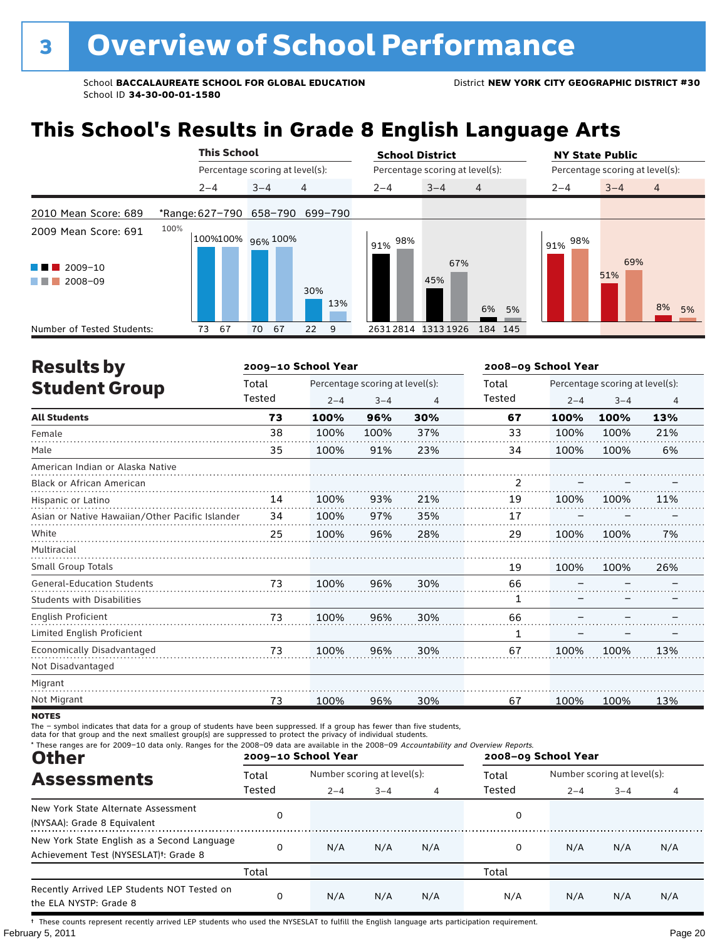### **This School's Results in Grade 8 English Language Arts**

|                            |                                 | <b>This School</b> |         |                                 |            |  | <b>School District</b>          |         |          | <b>NY State Public</b>          |         |                |  |
|----------------------------|---------------------------------|--------------------|---------|---------------------------------|------------|--|---------------------------------|---------|----------|---------------------------------|---------|----------------|--|
|                            |                                 |                    |         | Percentage scoring at level(s): |            |  | Percentage scoring at level(s): |         |          | Percentage scoring at level(s): |         |                |  |
|                            |                                 | $2 - 4$            | $3 - 4$ |                                 | 4          |  | $2 - 4$                         | $3 - 4$ | 4        | $2 - 4$                         | $3 - 4$ | $\overline{4}$ |  |
| 2010 Mean Score: 689       | *Range: 627-790 658-790 699-790 |                    |         |                                 |            |  |                                 |         |          |                                 |         |                |  |
| 2009 Mean Score: 691       | 100%                            | 100%100% 96% 100%  |         |                                 |            |  | 98%<br>91%                      |         |          | $191\%$ <sup>98%</sup>          |         |                |  |
| 2009-10<br>a ka            |                                 |                    |         |                                 |            |  |                                 | 67%     |          |                                 | 69%     |                |  |
| 2008-09<br>a sa ban        |                                 |                    |         |                                 | 30%<br>13% |  |                                 | 45%     | 6%<br>5% |                                 | 51%     | 8%<br>5%       |  |
| Number of Tested Students: | 73                              | 67                 | 70      | 67                              | 22<br>9    |  | 26312814 13131926               |         | 184 145  |                                 |         |                |  |

| <b>Results by</b>                               |        | 2009-10 School Year |                                 |     | 2008-09 School Year |         |                                 |     |  |
|-------------------------------------------------|--------|---------------------|---------------------------------|-----|---------------------|---------|---------------------------------|-----|--|
| <b>Student Group</b>                            | Total  |                     | Percentage scoring at level(s): |     | Total               |         | Percentage scoring at level(s): |     |  |
|                                                 | Tested | $2 - 4$             | $3 - 4$                         | 4   | Tested              | $2 - 4$ | $3 - 4$                         | 4   |  |
| <b>All Students</b>                             | 73     | 100%                | 96%                             | 30% | 67                  | 100%    | 100%                            | 13% |  |
| Female                                          | 38     | 100%                | 100%                            | 37% | 33                  | 100%    | 100%                            | 21% |  |
| Male                                            | 35     | 100%                | 91%                             | 23% | 34                  | 100%    | 100%                            | 6%  |  |
| American Indian or Alaska Native                |        |                     |                                 |     |                     |         |                                 |     |  |
| Black or African American                       |        |                     |                                 |     | 2                   |         |                                 |     |  |
| Hispanic or Latino                              | 14     | 100%                | 93%                             | 21% | 19                  | 100%    | 100%                            | 11% |  |
| Asian or Native Hawaiian/Other Pacific Islander | 34     | 100%                | 97%                             | 35% | 17                  |         |                                 |     |  |
| White                                           | 25     | 100%                | 96%                             | 28% | 29                  | 100%    | 100%                            | 7%  |  |
| Multiracial                                     |        |                     |                                 |     |                     |         |                                 |     |  |
| <b>Small Group Totals</b>                       |        |                     |                                 |     | 19                  | 100%    | 100%                            | 26% |  |
| <b>General-Education Students</b>               | 73     | 100%                | 96%                             | 30% | 66                  |         |                                 |     |  |
| <b>Students with Disabilities</b>               |        |                     |                                 |     | 1                   |         |                                 |     |  |
| <b>English Proficient</b>                       | 73     | 100%                | 96%                             | 30% | 66                  |         |                                 |     |  |
| Limited English Proficient                      |        |                     |                                 |     | 1                   |         |                                 |     |  |
| Economically Disadvantaged                      | 73     | 100%                | 96%                             | 30% | 67                  | 100%    | 100%                            | 13% |  |
| Not Disadvantaged                               |        |                     |                                 |     |                     |         |                                 |     |  |
| Migrant                                         |        |                     |                                 |     |                     |         |                                 |     |  |
| Not Migrant                                     | 73     | 100%                | 96%                             | 30% | 67                  | 100%    | 100%                            | 13% |  |

**NOTES** 

The – symbol indicates that data for a group of students have been suppressed. If a group has fewer than five students,<br>data for that group and the next smallest group(s) are suppressed to protect the privacy of individual

| * These ranges are for 2009-10 data only. Ranges for the 2008-09 data are available in the 2008-09 Accountability and Overview Reports.<br><b>Other</b> |        | 2009-10 School Year         |         |     | 2008-09 School Year |                             |         |     |
|---------------------------------------------------------------------------------------------------------------------------------------------------------|--------|-----------------------------|---------|-----|---------------------|-----------------------------|---------|-----|
| <b>Assessments</b>                                                                                                                                      | Total  | Number scoring at level(s): |         |     | Total               | Number scoring at level(s): |         |     |
|                                                                                                                                                         | Tested | $2 - 4$                     | $3 - 4$ | 4   | Tested              | $2 - 4$                     | $3 - 4$ | 4   |
| New York State Alternate Assessment<br>(NYSAA): Grade 8 Equivalent                                                                                      | 0      |                             |         |     | 0                   |                             |         |     |
| New York State English as a Second Language<br>Achievement Test (NYSESLAT) <sup>+</sup> : Grade 8                                                       | 0      | N/A                         | N/A     | N/A | 0                   | N/A                         | N/A     | N/A |
|                                                                                                                                                         | Total  |                             |         |     | Total               |                             |         |     |
| Recently Arrived LEP Students NOT Tested on<br>the ELA NYSTP: Grade 8                                                                                   | 0      | N/A                         | N/A     | N/A | N/A                 | N/A                         | N/A     | N/A |

February 5, 2011 **Page 20** † These counts represent recently arrived LEP students who used the NYSESLAT to fulfill the English language arts participation requirement.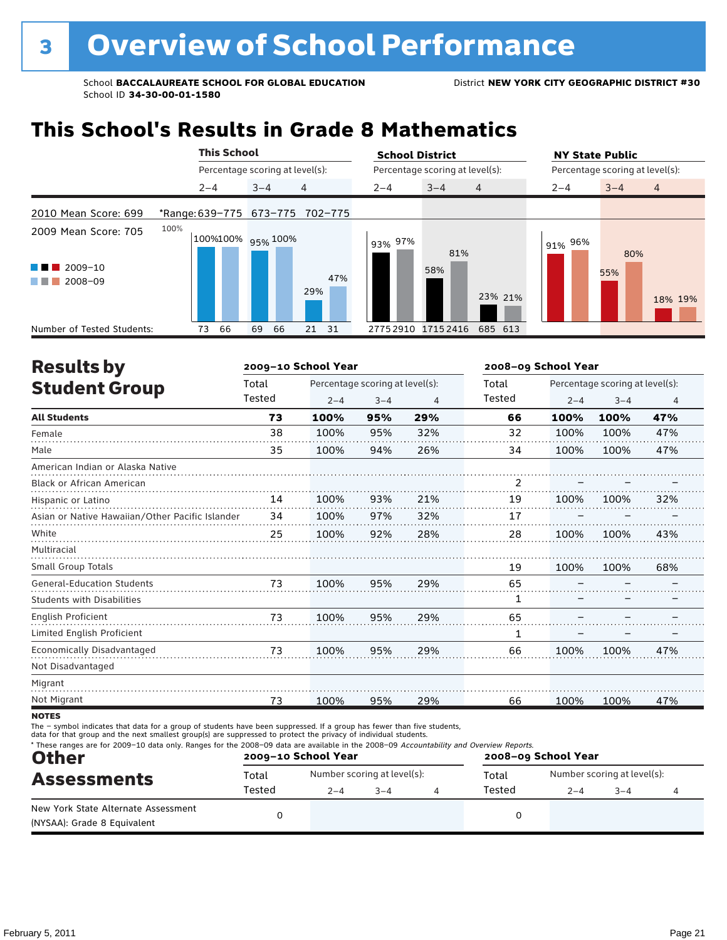### **This School's Results in Grade 8 Mathematics**

|                                                            | <b>This School</b>        |                                 | <b>School District</b>          |                | <b>NY State Public</b>          |                           |  |  |
|------------------------------------------------------------|---------------------------|---------------------------------|---------------------------------|----------------|---------------------------------|---------------------------|--|--|
|                                                            |                           | Percentage scoring at level(s): | Percentage scoring at level(s): |                | Percentage scoring at level(s): |                           |  |  |
|                                                            | $2 - 4$                   | 4<br>$3 - 4$                    | $2 - 4$<br>$3 - 4$              | $\overline{4}$ | $2 - 4$                         | $\overline{4}$<br>$3 - 4$ |  |  |
| 2010 Mean Score: 699                                       | *Range: 639-775 673-775   | 702-775                         |                                 |                |                                 |                           |  |  |
| 2009 Mean Score: 705<br>$2009 - 10$<br>a katika<br>2008-09 | 100%<br>100%100% 95% 100% | 47%<br>29%                      | 93% 97%<br>58%                  | 81%<br>23% 21% | 91% 96%                         | 80%<br>55%<br>18% 19%     |  |  |
| Number of Tested Students:                                 | 66<br>73                  | 66<br>21 31<br>69               | 27752910 17152416               | 685 613        |                                 |                           |  |  |

| <b>Results by</b>                               |        | 2009-10 School Year |                                 |     | 2008-09 School Year |         |                                 |     |  |
|-------------------------------------------------|--------|---------------------|---------------------------------|-----|---------------------|---------|---------------------------------|-----|--|
| <b>Student Group</b>                            | Total  |                     | Percentage scoring at level(s): |     | Total               |         | Percentage scoring at level(s): |     |  |
|                                                 | Tested | $2 - 4$             | $3 - 4$                         | 4   | Tested              | $2 - 4$ | $3 - 4$                         | 4   |  |
| <b>All Students</b>                             | 73     | 100%                | 95%                             | 29% | 66                  | 100%    | 100%                            | 47% |  |
| Female                                          | 38     | 100%                | 95%                             | 32% | 32                  | 100%    | 100%                            | 47% |  |
| Male                                            | 35     | 100%                | 94%                             | 26% | 34                  | 100%    | 100%                            | 47% |  |
| American Indian or Alaska Native                |        |                     |                                 |     |                     |         |                                 |     |  |
| Black or African American                       |        |                     |                                 |     | 2                   |         |                                 |     |  |
| Hispanic or Latino                              | 14     | 100%                | 93%                             | 21% | 19                  | 100%    | 100%                            | 32% |  |
| Asian or Native Hawaiian/Other Pacific Islander | 34     | 100%                | 97%                             | 32% | 17                  |         |                                 |     |  |
| White                                           | 25     | 100%                | 92%                             | 28% | 28                  | 100%    | 100%                            | 43% |  |
| Multiracial                                     |        |                     |                                 |     |                     |         |                                 |     |  |
| Small Group Totals                              |        |                     |                                 |     | 19                  | 100%    | 100%                            | 68% |  |
| <b>General-Education Students</b>               | 73     | 100%                | 95%                             | 29% | 65                  |         |                                 |     |  |
| <b>Students with Disabilities</b>               |        |                     |                                 |     | 1                   |         |                                 |     |  |
| <b>English Proficient</b>                       | 73     | 100%                | 95%                             | 29% | 65                  |         |                                 |     |  |
| Limited English Proficient                      |        |                     |                                 |     | 1                   |         |                                 |     |  |
| Economically Disadvantaged                      | 73     | 100%                | 95%                             | 29% | 66                  | 100%    | 100%                            | 47% |  |
| Not Disadvantaged                               |        |                     |                                 |     |                     |         |                                 |     |  |
| Migrant                                         |        |                     |                                 |     |                     |         |                                 |     |  |
| Not Migrant                                     | 73     | 100%                | 95%                             | 29% | 66                  | 100%    | 100%                            | 47% |  |
| <b>NATEC</b>                                    |        |                     |                                 |     |                     |         |                                 |     |  |

**NOTES** 

The – symbol indicates that data for a group of students have been suppressed. If a group has fewer than five students,<br>data for that group and the next smallest group(s) are suppressed to protect the privacy of individual

| * These ranges are for 2009-10 data only. Ranges for the 2008-09 data are available in the 2008-09 Accountability and Overview Reports.<br><b>Other</b> |                 | 2009-10 School Year |                             | 2008-09 School Year |         |                             |  |  |
|---------------------------------------------------------------------------------------------------------------------------------------------------------|-----------------|---------------------|-----------------------------|---------------------|---------|-----------------------------|--|--|
| <b>Assessments</b>                                                                                                                                      | Total<br>Tested | $2 - 4$             | Number scoring at level(s): | Total<br>Tested     |         | Number scoring at level(s): |  |  |
| New York State Alternate Assessment                                                                                                                     |                 |                     | $3 - 4$                     |                     | $2 - 4$ | $3 - 4$                     |  |  |
| (NYSAA): Grade 8 Equivalent                                                                                                                             |                 |                     |                             |                     |         |                             |  |  |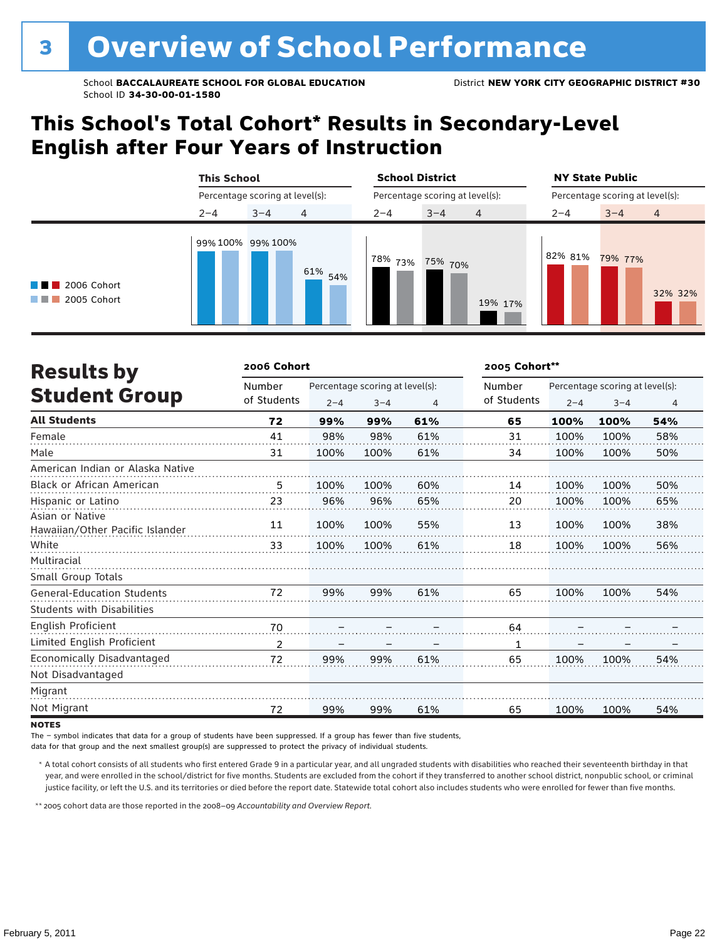### **This School's Total Cohort\* Results in Secondary-Level English after Four Years of Instruction**

|                                                | <b>This School</b> |                                 |                | <b>School District</b> |                                 |                                 | <b>NY State Public</b>    |  |  |
|------------------------------------------------|--------------------|---------------------------------|----------------|------------------------|---------------------------------|---------------------------------|---------------------------|--|--|
|                                                |                    | Percentage scoring at level(s): |                |                        | Percentage scoring at level(s): | Percentage scoring at level(s): |                           |  |  |
|                                                | $2 - 4$            | $3 - 4$                         | $\overline{4}$ | $2 - 4$                | $3 - 4$<br>$\overline{4}$       | $2 - 4$                         | $3 - 4$<br>$\overline{4}$ |  |  |
| $\blacksquare$ 2006 Cohort<br>2005 Cohort<br>. | 99% 100% 99% 100%  |                                 | $61\%$ 54%     | 78%<br>73%             | 75% 70%<br>19% 17%              | 82% 81%                         | 79% 77%<br>32% 32%        |  |  |

| <b>Results by</b>                                  | 2006 Cohort           |                                 | 2005 Cohort** |     |             |                                 |         |                |
|----------------------------------------------------|-----------------------|---------------------------------|---------------|-----|-------------|---------------------------------|---------|----------------|
|                                                    | Number<br>of Students | Percentage scoring at level(s): |               |     | Number      | Percentage scoring at level(s): |         |                |
| <b>Student Group</b>                               |                       | $2 - 4$                         | $3 - 4$       | 4   | of Students | $2 - 4$                         | $3 - 4$ | $\overline{4}$ |
| <b>All Students</b>                                | 72                    | 99%                             | 99%           | 61% | 65          | 100%                            | 100%    | 54%            |
| Female                                             | 41                    | 98%                             | 98%           | 61% | 31          | 100%                            | 100%    | 58%            |
| Male                                               | 31                    | 100%                            | 100%          | 61% | 34          | 100%                            | 100%    | 50%            |
| American Indian or Alaska Native                   |                       |                                 |               |     |             |                                 |         |                |
| <b>Black or African American</b>                   | 5                     | 100%                            | 100%          | 60% | 14          | 100%                            | 100%    | 50%            |
| Hispanic or Latino                                 | 23                    | 96%                             | 96%           | 65% | 20          | 100%                            | 100%    | 65%            |
| Asian or Native<br>Hawaiian/Other Pacific Islander | 11                    | 100%                            | 100%          | 55% | 13          | 100%                            | 100%    | 38%            |
| White                                              | 33                    | 100%                            | 100%          | 61% | 18          | 100%                            | 100%    | 56%            |
| Multiracial                                        |                       |                                 |               |     |             |                                 |         |                |
| Small Group Totals                                 |                       |                                 |               |     |             |                                 |         |                |
| <b>General-Education Students</b>                  | 72                    | 99%                             | 99%           | 61% | 65          | 100%                            | 100%    | 54%            |
| Students with Disabilities                         |                       |                                 |               |     |             |                                 |         |                |
| <b>English Proficient</b>                          | 70                    |                                 |               |     | 64          |                                 |         |                |
| Limited English Proficient                         | 2                     |                                 |               |     | 1           |                                 |         |                |
| Economically Disadvantaged                         | 72                    | 99%                             | 99%           | 61% | 65          | 100%                            | 100%    | 54%            |
| Not Disadvantaged                                  |                       |                                 |               |     |             |                                 |         |                |
| Migrant                                            |                       |                                 |               |     |             |                                 |         |                |
| Not Migrant                                        | 72                    | 99%                             | 99%           | 61% | 65          | 100%                            | 100%    | 54%            |

#### **NOTES**

The – symbol indicates that data for a group of students have been suppressed. If a group has fewer than five students,

data for that group and the next smallest group(s) are suppressed to protect the privacy of individual students.

 \* A total cohort consists of all students who first entered Grade 9 in a particular year, and all ungraded students with disabilities who reached their seventeenth birthday in that year, and were enrolled in the school/district for five months. Students are excluded from the cohort if they transferred to another school district, nonpublic school, or criminal justice facility, or left the U.S. and its territories or died before the report date. Statewide total cohort also includes students who were enrolled for fewer than five months.

\*\* 2005 cohort data are those reported in the 2008–09 *Accountability and Overview Report*.